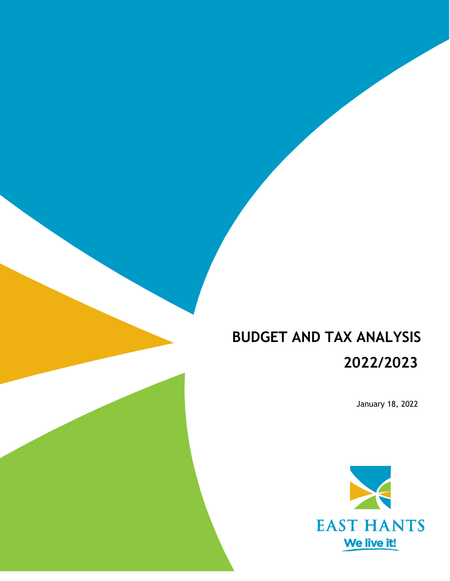# **BUDGET AND TAX ANALYSIS 2022/2023**

January 18, 2022

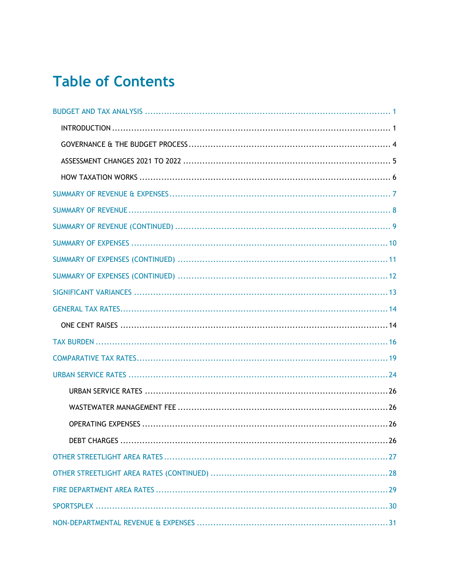# **Table of Contents**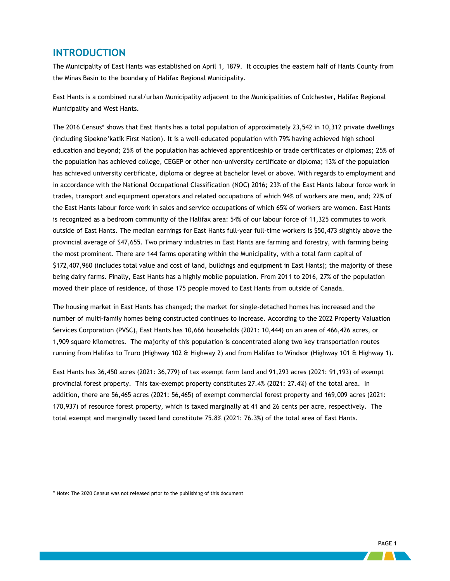### <span id="page-3-0"></span>**INTRODUCTION**

The Municipality of East Hants was established on April 1, 1879. It occupies the eastern half of Hants County from the Minas Basin to the boundary of Halifax Regional Municipality.

East Hants is a combined rural/urban Municipality adjacent to the Municipalities of Colchester, Halifax Regional Municipality and West Hants.

The 2016 Census\* shows that East Hants has a total population of approximately 23,542 in 10,312 private dwellings (including Sipekne'katik First Nation). It is a well-educated population with 79% having achieved high school education and beyond; 25% of the population has achieved apprenticeship or trade certificates or diplomas; 25% of the population has achieved college, CEGEP or other non-university certificate or diploma; 13% of the population has achieved university certificate, diploma or degree at bachelor level or above. With regards to employment and in accordance with the National Occupational Classification (NOC) 2016; 23% of the East Hants labour force work in trades, transport and equipment operators and related occupations of which 94% of workers are men, and; 22% of the East Hants labour force work in sales and service occupations of which 65% of workers are women. East Hants is recognized as a bedroom community of the Halifax area: 54% of our labour force of 11,325 commutes to work outside of East Hants. The median earnings for East Hants full-year full-time workers is \$50,473 slightly above the provincial average of \$47,655. Two primary industries in East Hants are farming and forestry, with farming being the most prominent. There are 144 farms operating within the Municipality, with a total farm capital of \$172,407,960 (includes total value and cost of land, buildings and equipment in East Hants); the majority of these being dairy farms. Finally, East Hants has a highly mobile population. From 2011 to 2016, 27% of the population moved their place of residence, of those 175 people moved to East Hants from outside of Canada.

The housing market in East Hants has changed; the market for single-detached homes has increased and the number of multi-family homes being constructed continues to increase. According to the 2022 Property Valuation Services Corporation (PVSC), East Hants has 10,666 households (2021: 10,444) on an area of 466,426 acres, or 1,909 square kilometres. The majority of this population is concentrated along two key transportation routes running from Halifax to Truro (Highway 102 & Highway 2) and from Halifax to Windsor (Highway 101 & Highway 1).

East Hants has 36,450 acres (2021: 36,779) of tax exempt farm land and 91,293 acres (2021: 91,193) of exempt provincial forest property. This tax-exempt property constitutes 27.4% (2021: 27.4%) of the total area. In addition, there are 56,465 acres (2021: 56,465) of exempt commercial forest property and 169,009 acres (2021: 170,937) of resource forest property, which is taxed marginally at 41 and 26 cents per acre, respectively. The total exempt and marginally taxed land constitute 75.8% (2021: 76.3%) of the total area of East Hants.

\* Note: The 2020 Census was not released prior to the publishing of this document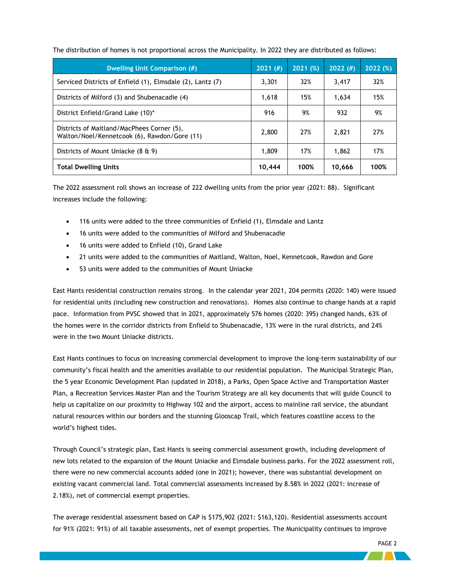| <b>Dwelling Unit Comparison (#)</b>                                                        | 2021(f) | 2021(%) | 2022(f) | 2022(%) |
|--------------------------------------------------------------------------------------------|---------|---------|---------|---------|
| Serviced Districts of Enfield (1), Elmsdale (2), Lantz (7)                                 | 3,301   | 32%     | 3,417   | 32%     |
| Districts of Milford (3) and Shubenacadie (4)                                              | 1,618   | 15%     | 1,634   | 15%     |
| District Enfield/Grand Lake (10)*                                                          | 916     | 9%      | 932     | 9%      |
| Districts of Maitland/MacPhees Corner (5),<br>Walton/Noel/Kennetcook (6), Rawdon/Gore (11) | 2,800   | 27%     | 2,821   | 27%     |
| Districts of Mount Uniacke (8 & 9)                                                         | 1,809   | 17%     | 1,862   | 17%     |
| <b>Total Dwelling Units</b>                                                                | 10,444  | 100%    | 10,666  | 100%    |

The distribution of homes is not proportional across the Municipality. In 2022 they are distributed as follows:

The 2022 assessment roll shows an increase of 222 dwelling units from the prior year (2021: 88). Significant increases include the following:

- 116 units were added to the three communities of Enfield (1), Elmsdale and Lantz
- 16 units were added to the communities of Milford and Shubenacadie
- 16 units were added to Enfield (10), Grand Lake
- 21 units were added to the communities of Maitland, Walton, Noel, Kennetcook, Rawdon and Gore
- 53 units were added to the communities of Mount Uniacke

East Hants residential construction remains strong. In the calendar year 2021, 204 permits (2020: 140) were issued for residential units (including new construction and renovations). Homes also continue to change hands at a rapid pace. Information from PVSC showed that in 2021, approximately 576 homes (2020: 395) changed hands, 63% of the homes were in the corridor districts from Enfield to Shubenacadie, 13% were in the rural districts, and 24% were in the two Mount Uniacke districts.

East Hants continues to focus on increasing commercial development to improve the long-term sustainability of our community's fiscal health and the amenities available to our residential population. The Municipal Strategic Plan, the 5 year Economic Development Plan (updated in 2018), a Parks, Open Space Active and Transportation Master Plan, a Recreation Services Master Plan and the Tourism Strategy are all key documents that will guide Council to help us capitalize on our proximity to Highway 102 and the airport, access to mainline rail service, the abundant natural resources within our borders and the stunning Glooscap Trail, which features coastline access to the world's highest tides.

Through Council's strategic plan, East Hants is seeing commercial assessment growth, including development of new lots related to the expansion of the Mount Uniacke and Elmsdale business parks. For the 2022 assessment roll, there were no new commercial accounts added (one in 2021); however, there was substantial development on existing vacant commercial land. Total commercial assessments increased by 8.58% in 2022 (2021: increase of 2.18%), net of commercial exempt properties.

The average residential assessment based on CAP is \$175,902 (2021: \$163,120). Residential assessments account for 91% (2021: 91%) of all taxable assessments, net of exempt properties. The Municipality continues to improve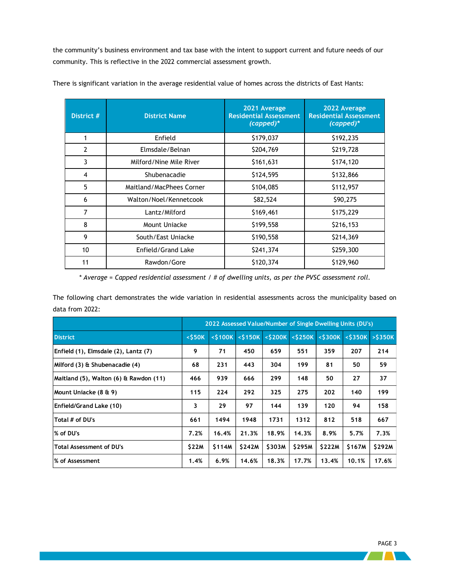the community's business environment and tax base with the intent to support current and future needs of our community. This is reflective in the 2022 commercial assessment growth.

| District #     | <b>District Name</b>     | 2021 Average<br><b>Residential Assessment</b><br>$(capped)*$ |           |  |  |  |  |
|----------------|--------------------------|--------------------------------------------------------------|-----------|--|--|--|--|
| 1              | Enfield                  | \$179,037                                                    | \$192,235 |  |  |  |  |
| $\overline{2}$ | Elmsdale/Belnan          | \$204,769                                                    | \$219,728 |  |  |  |  |
| 3              | Milford/Nine Mile River  | \$161,631                                                    | \$174,120 |  |  |  |  |
| $\overline{4}$ | Shubenacadie             | \$124,595                                                    | \$132,866 |  |  |  |  |
| 5              | Maitland/MacPhees Corner | \$104,085                                                    | \$112,957 |  |  |  |  |
| 6              | Walton/Noel/Kennetcook   | \$82,524                                                     | \$90,275  |  |  |  |  |
| $\overline{7}$ | Lantz/Milford            | \$169,461                                                    | \$175,229 |  |  |  |  |
| 8              | Mount Uniacke            | \$199,558                                                    | \$216,153 |  |  |  |  |
| 9              | South/East Uniacke       | \$190,558                                                    | \$214,369 |  |  |  |  |
| 10             | Enfield/Grand Lake       | \$241,374                                                    | \$259,300 |  |  |  |  |
| 11             | Rawdon/Gore              | \$120,374                                                    | \$129,960 |  |  |  |  |

There is significant variation in the average residential value of homes across the districts of East Hants:

*\* Average = Capped residential assessment / # of dwelling units, as per the PVSC assessment roll.*

The following chart demonstrates the wide variation in residential assessments across the municipality based on data from 2022:

|                                        | 2022 Assessed Value/Number of Single Dwelling Units (DU's) |        |                                       |              |                          |              |        |                                       |  |  |  |  |
|----------------------------------------|------------------------------------------------------------|--------|---------------------------------------|--------------|--------------------------|--------------|--------|---------------------------------------|--|--|--|--|
| <b>District</b>                        | $<$ \$50K                                                  |        | $<$ \$100K $\overline{\left <$ \$150K |              | $<$ \$200K $\sqrt{5250}$ |              |        | $\frac{1}{2}$ <\$300K <\$350K >\$350K |  |  |  |  |
| Enfield (1), Elmsdale (2), Lantz (7)   | 9                                                          | 71     | 450                                   | 659          | 551                      | 359          | 207    | 214                                   |  |  |  |  |
| Milford (3) & Shubenacadie (4)         | 68                                                         | 231    | 443                                   | 304          | 199                      | 81           | 50     | 59                                    |  |  |  |  |
| Maitland (5), Walton (6) & Rawdon (11) | 466                                                        | 939    | 666                                   | 299          | 148                      | 50           | 27     | 37                                    |  |  |  |  |
| Mount Uniacke (8 & 9)                  | 115                                                        | 224    | 292                                   | 325          | 275                      | 202          | 140    | 199                                   |  |  |  |  |
| Enfield/Grand Lake (10)                | 3                                                          | 29     | 97                                    | 144          | 139                      | 120          | 94     | 158                                   |  |  |  |  |
| Total # of DU's                        | 661                                                        | 1494   | 1948                                  | 1731         | 1312                     | 812          | 518    | 667                                   |  |  |  |  |
| % of DU's                              | 7.2%                                                       | 16.4%  | 21.3%                                 | 18.9%        | 14.3%                    | 8.9%         | 5.7%   | 7.3%                                  |  |  |  |  |
| <b>Total Assessment of DU's</b>        | \$22M                                                      | \$114M | <b>S242M</b>                          | <b>S303M</b> | <b>S295M</b>             | <b>S222M</b> | \$167M | <b>S292M</b>                          |  |  |  |  |
| % of Assessment                        | 1.4%                                                       | 6.9%   | 14.6%                                 | 18.3%        | 17.7%                    | 13.4%        | 10.1%  | 17.6%                                 |  |  |  |  |

 $\sqrt{1}$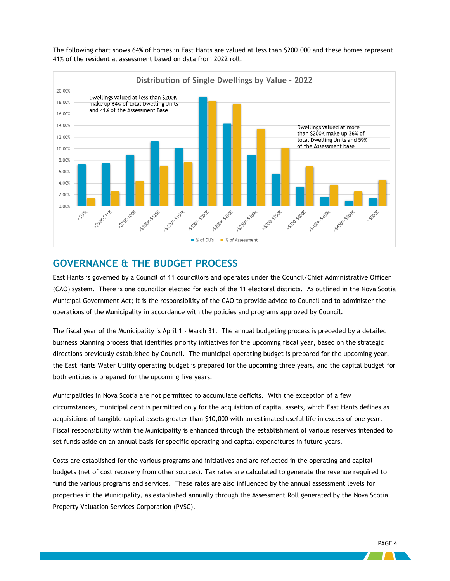

The following chart shows 64% of homes in East Hants are valued at less than \$200,000 and these homes represent 41% of the residential assessment based on data from 2022 roll:

### <span id="page-6-0"></span>**GOVERNANCE & THE BUDGET PROCESS**

East Hants is governed by a Council of 11 councillors and operates under the Council/Chief Administrative Officer (CAO) system. There is one councillor elected for each of the 11 electoral districts. As outlined in the Nova Scotia Municipal Government Act; it is the responsibility of the CAO to provide advice to Council and to administer the operations of the Municipality in accordance with the policies and programs approved by Council.

The fiscal year of the Municipality is April 1 - March 31. The annual budgeting process is preceded by a detailed business planning process that identifies priority initiatives for the upcoming fiscal year, based on the strategic directions previously established by Council. The municipal operating budget is prepared for the upcoming year, the East Hants Water Utility operating budget is prepared for the upcoming three years, and the capital budget for both entities is prepared for the upcoming five years.

Municipalities in Nova Scotia are not permitted to accumulate deficits. With the exception of a few circumstances, municipal debt is permitted only for the acquisition of capital assets, which East Hants defines as acquisitions of tangible capital assets greater than \$10,000 with an estimated useful life in excess of one year. Fiscal responsibility within the Municipality is enhanced through the establishment of various reserves intended to set funds aside on an annual basis for specific operating and capital expenditures in future years.

Costs are established for the various programs and initiatives and are reflected in the operating and capital budgets (net of cost recovery from other sources). Tax rates are calculated to generate the revenue required to fund the various programs and services. These rates are also influenced by the annual assessment levels for properties in the Municipality, as established annually through the Assessment Roll generated by the Nova Scotia Property Valuation Services Corporation (PVSC).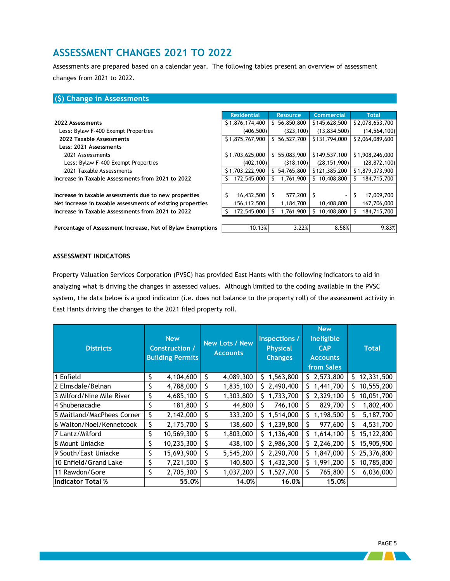### <span id="page-7-0"></span>**ASSESSMENT CHANGES 2021 TO 2022**

Assessments are prepared based on a calendar year. The following tables present an overview of assessment changes from 2021 to 2022.

### **(\$) Change in Assessments**

|                                                            | <b>Residential</b> | <b>Resource</b>  | <b>Commercial</b> | <b>Total</b>    |
|------------------------------------------------------------|--------------------|------------------|-------------------|-----------------|
| 2022 Assessments                                           | \$1,876,174,400    | 56,850,800<br>S. | \$145,628,500     | \$2,078,653,700 |
| Less: Bylaw F-400 Exempt Properties                        | (406, 500)         | (323, 100)       | (13, 834, 500)    | (14, 564, 100)  |
| 2022 Taxable Assessments                                   | \$1,875,767,900    | 56,527,700<br>S. | \$131,794,000     | \$2,064,089,600 |
| Less: 2021 Assessments                                     |                    |                  |                   |                 |
| 2021 Assessments                                           | \$1,703,625,000    | 55,083,900<br>S. | \$149,537,100     | \$1,908,246,000 |
| Less: Bylaw F-400 Exempt Properties                        | (402, 100)         | (318, 100)       | (28, 151, 900)    | (28, 872, 100)  |
| 2021 Taxable Assessments                                   | \$1,703,222,900    | 54,765,800       | \$121,385,200     | \$1,879,373,900 |
| Increase in Taxable Assessments from 2021 to 2022          | 172,545,000        | 1,761,900        | 10,408,800        | 184,715,700     |
|                                                            |                    |                  |                   |                 |
| Increase in taxable assessments due to new properties      | 16,432,500<br>S    | 577,200          |                   | 17,009,700      |
| Net increase in taxable assessments of existing properties | 156,112,500        | 1,184,700        | 10,408,800        | 167,706,000     |
| Increase in Taxable Assessments from 2021 to 2022          | 172,545,000        | 1,761,900        | 10,408,800        | 184,715,700     |
|                                                            |                    |                  |                   |                 |
|                                                            |                    |                  |                   |                 |

**Percentage of Assessment Increase, Net of Bylaw Exemptions** 10.13% 3.22% 8.58% 8.58% 9.83%

#### **ASSESSMENT INDICATORS**

Property Valuation Services Corporation (PVSC) has provided East Hants with the following indicators to aid in analyzing what is driving the changes in assessed values. Although limited to the coding available in the PVSC system, the data below is a good indicator (i.e. does not balance to the property roll) of the assessment activity in East Hants driving the changes to the 2021 filed property roll.

| <b>Districts</b>           | <b>New</b><br><b>Construction /</b><br><b>Building Permits</b> |            | <b>New Lots / New</b><br><b>Accounts</b> |           |    |             |    | Inspections /<br><b>Physical</b><br><b>Changes</b> |    | <b>New</b><br>Ineligible<br><b>CAP</b><br><b>Accounts</b><br>from Sales |  | <b>Total</b> |
|----------------------------|----------------------------------------------------------------|------------|------------------------------------------|-----------|----|-------------|----|----------------------------------------------------|----|-------------------------------------------------------------------------|--|--------------|
| 1 Enfield                  | \$                                                             | 4,104,600  | \$                                       | 4,089,300 | S. | 1,563,800   |    | \$2,573,800                                        | S. | 12,331,500                                                              |  |              |
| 2 Elmsdale/Belnan          | \$                                                             | 4,788,000  | \$                                       | 1,835,100 | S. | 2,490,400   | S. | 1,441,700                                          | S. | 10,555,200                                                              |  |              |
| 3 Milford/Nine Mile River  | \$                                                             | 4,685,100  | \$                                       | 1,303,800 | Ś. | 1,733,700   | Ś. | 2,329,100                                          | Ś. | 10,051,700                                                              |  |              |
| 4 Shubenacadie             |                                                                | 181,800    | \$                                       | 44,800    | S  | 746,100     | S  | 829,700                                            | S. | 1,802,400                                                               |  |              |
| 5 Maitland/MacPhees Corner | \$                                                             | 2,142,000  | \$                                       | 333,200   | S. | 1,514,000   | Ś. | 1,198,500                                          |    | 5,187,700                                                               |  |              |
| 6 Walton/Noel/Kennetcook   | \$                                                             | 2,175,700  | \$                                       | 138,600   |    | 1,239,800   | \$ | 977,600                                            |    | 4,531,700                                                               |  |              |
| 7 Lantz/Milford            | \$                                                             | 10,569,300 | \$                                       | 1,803,000 | S. | 1,136,400   | Ś. | 1,614,100                                          | S. | 15,122,800                                                              |  |              |
| 8 Mount Uniacke            | \$                                                             | 10,235,300 | \$                                       | 438,100   |    | \$2,986,300 | Ŝ. | 2,246,200                                          | S. | 15,905,900                                                              |  |              |
| 9 South/East Uniacke       | \$                                                             | 15,693,900 | \$                                       | 5,545,200 | S. | 2,290,700   | S  | 1,847,000                                          | S. | 25,376,800                                                              |  |              |
| 10 Enfield/Grand Lake      |                                                                | 7,221,500  | \$                                       | 140,800   |    | 1,432,300   | Ś. | 1,991,200                                          | S. | 10,785,800                                                              |  |              |
| 11 Rawdon/Gore             | \$                                                             | 2,705,300  | \$                                       | 1,037,200 | S. | 1,527,700   | Ś  | 765,800                                            | S. | 6,036,000                                                               |  |              |
| <b>Indicator Total %</b>   |                                                                | 55.0%      |                                          | 14.0%     |    | 16.0%       |    | 15.0%                                              |    |                                                                         |  |              |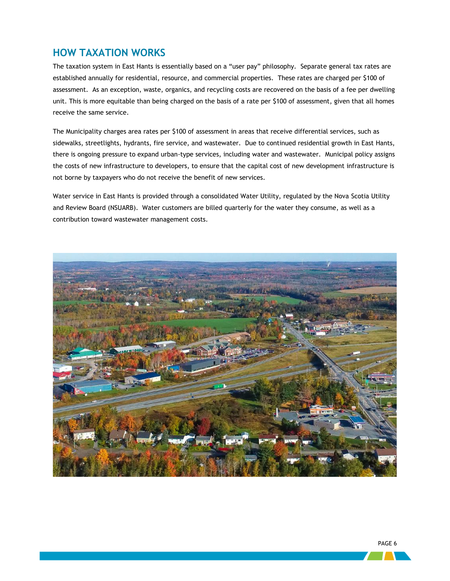### <span id="page-8-0"></span>**HOW TAXATION WORKS**

The taxation system in East Hants is essentially based on a "user pay" philosophy. Separate general tax rates are established annually for residential, resource, and commercial properties. These rates are charged per \$100 of assessment. As an exception, waste, organics, and recycling costs are recovered on the basis of a fee per dwelling unit. This is more equitable than being charged on the basis of a rate per \$100 of assessment, given that all homes receive the same service.

The Municipality charges area rates per \$100 of assessment in areas that receive differential services, such as sidewalks, streetlights, hydrants, fire service, and wastewater. Due to continued residential growth in East Hants, there is ongoing pressure to expand urban-type services, including water and wastewater. Municipal policy assigns the costs of new infrastructure to developers, to ensure that the capital cost of new development infrastructure is not borne by taxpayers who do not receive the benefit of new services.

Water service in East Hants is provided through a consolidated Water Utility, regulated by the Nova Scotia Utility and Review Board (NSUARB). Water customers are billed quarterly for the water they consume, as well as a contribution toward wastewater management costs.

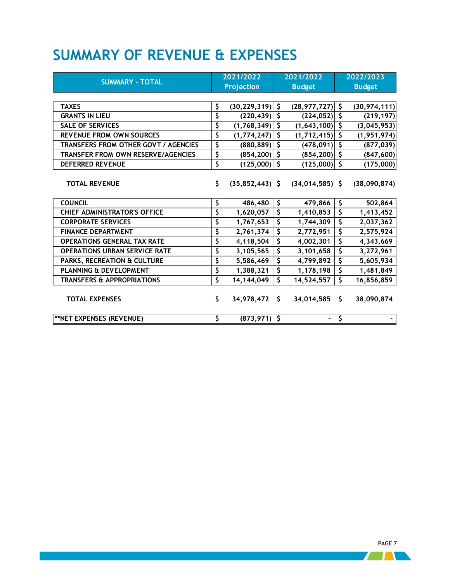## <span id="page-9-0"></span>**SUMMARY OF REVENUE & EXPENSES**

|                                       |                        | 2021/2022         | 2021/2022               |                          |                    | 2022/2023      |  |
|---------------------------------------|------------------------|-------------------|-------------------------|--------------------------|--------------------|----------------|--|
| <b>SUMMARY - TOTAL</b>                |                        | <b>Projection</b> |                         | <b>Budget</b>            | <b>Budget</b>      |                |  |
|                                       |                        |                   |                         |                          |                    |                |  |
| <b>TAXES</b>                          | \$                     | (30, 229, 319)    | \$                      | (28, 977, 727)           | $\mathsf{\hat{S}}$ | (30, 974, 111) |  |
| <b>GRANTS IN LIEU</b>                 | \$                     | (220, 439)        | \$                      | $(224, 052)$ \$          |                    | (219, 197)     |  |
| <b>SALE OF SERVICES</b>               | \$                     | (1,768,349)       | $\overline{\mathsf{S}}$ | $(1,643,100)$ \$         |                    | (3,045,953)    |  |
| <b>REVENUE FROM OWN SOURCES</b>       | \$                     | (1, 774, 247)     | \$                      | $(1,712,415)$ \$         |                    | (1, 951, 974)  |  |
| TRANSFERS FROM OTHER GOVT / AGENCIES  | \$                     | (880, 889)        | \$                      | $(478,091)$ \$           |                    | (877, 039)     |  |
| TRANSFER FROM OWN RESERVE/AGENCIES    | \$                     | (854, 200)        | \$                      | $(854, 200)$ \$          |                    | (847,600)      |  |
| <b>DEFERRED REVENUE</b>               | $\overline{\varsigma}$ | (125,000)         | \$                      | (125,000)                | $\sqrt{5}$         | (175,000)      |  |
|                                       |                        |                   |                         |                          |                    |                |  |
| <b>TOTAL REVENUE</b>                  | \$                     | $(35,852,443)$ \$ |                         | $(34, 014, 585)$ \$      |                    | (38,090,874)   |  |
|                                       |                        |                   |                         |                          |                    |                |  |
| <b>COUNCIL</b>                        | \$                     | 486,480           | \$                      | 479,866                  | \$                 | 502,864        |  |
| <b>CHIEF ADMINISTRATOR'S OFFICE</b>   | \$                     | 1,620,057         | \$                      | 1,410,853                | \$                 | 1,413,452      |  |
| <b>CORPORATE SERVICES</b>             | \$                     | 1,767,653         | \$                      | 1,744,309                | \$                 | 2,037,362      |  |
| <b>FINANCE DEPARTMENT</b>             | \$                     | 2,761,374         | \$                      | 2,772,951                | \$                 | 2,575,924      |  |
| <b>OPERATIONS GENERAL TAX RATE</b>    | \$                     | 4,118,504         | \$                      | 4,002,301                | \$                 | 4,343,669      |  |
| <b>OPERATIONS URBAN SERVICE RATE</b>  | \$                     | 3,105,565         | \$                      | 3,101,658                | \$                 | 3,272,961      |  |
| PARKS, RECREATION & CULTURE           | \$                     | 5,586,469         | \$                      | 4,799,892                | \$                 | 5,605,934      |  |
| PLANNING & DEVELOPMENT                | \$                     | 1,388,321         | \$                      | 1,178,198                | \$                 | 1,481,849      |  |
| <b>TRANSFERS &amp; APPROPRIATIONS</b> | \$                     | 14, 144, 049      | \$                      | 14,524,557               | \$                 | 16,856,859     |  |
|                                       |                        |                   |                         |                          |                    |                |  |
| <b>TOTAL EXPENSES</b>                 | \$                     | 34,978,472 \$     |                         | 34,014,585               | \$                 | 38,090,874     |  |
|                                       |                        |                   |                         |                          |                    |                |  |
| <b>**NET EXPENSES (REVENUE)</b>       | \$                     | $(873, 971)$ \$   |                         | $\overline{\phantom{a}}$ | \$                 |                |  |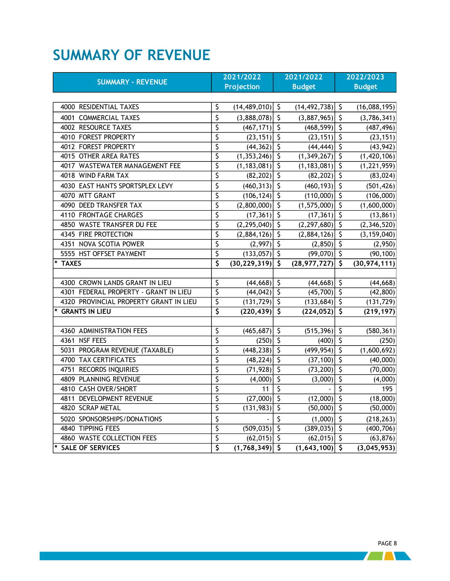## <span id="page-10-0"></span>**SUMMARY OF REVENUE**

|                                        |                                     | 2021/2022           |                          | 2021/2022           |                        | 2022/2023      |
|----------------------------------------|-------------------------------------|---------------------|--------------------------|---------------------|------------------------|----------------|
| <b>SUMMARY - REVENUE</b>               |                                     | <b>Projection</b>   |                          | <b>Budget</b>       |                        | <b>Budget</b>  |
|                                        |                                     |                     |                          |                     |                        |                |
| 4000 RESIDENTIAL TAXES                 | \$                                  | $(14, 489, 010)$ \$ |                          | $(14, 492, 738)$ \$ |                        | (16,088,195)   |
| 4001 COMMERCIAL TAXES                  | \$                                  | (3,888,078)         | $\zeta$                  | $(3,887,965)$ \$    |                        | (3,786,341)    |
| 4002 RESOURCE TAXES                    | \$                                  | $(467, 171)$ \$     |                          | $(468, 599)$ \$     |                        | (487, 496)     |
| 4010 FOREST PROPERTY                   | \$                                  | $(23, 151)$ \$      |                          | $(23, 151)$ \$      |                        | (23, 151)      |
| 4012 FOREST PROPERTY                   | \$                                  | $(44,362)$ \$       |                          | $(44, 444)$ \$      |                        | (43, 942)      |
| 4015 OTHER AREA RATES                  | \$                                  | $(1,353,246)$ \$    |                          | $(1,349,267)$ \$    |                        | (1,420,106)    |
| 4017 WASTEWATER MANAGEMENT FEE         | \$                                  | $(1, 183, 081)$ \$  |                          | $(1, 183, 081)$ \$  |                        | (1, 221, 959)  |
| 4018 WIND FARM TAX                     | \$                                  | $(82, 202)$ \$      |                          | $(82, 202)$ \$      |                        | (83, 024)      |
| 4030 EAST HANTS SPORTSPLEX LEVY        | \$                                  | (460, 313)          | $\mathsf{S}$             | $(460, 193)$ \$     |                        | (501, 426)     |
| 4070 MTT GRANT                         | \$                                  | (106, 124)          | $\zeta$                  | $(110,000)$ \$      |                        | (106,000)      |
| 4090 DEED TRANSFER TAX                 | \$                                  | (2,800,000)         | \$                       | $(1,575,000)$ \$    |                        | (1,600,000)    |
| 4110 FRONTAGE CHARGES                  | \$                                  | (17, 361)           | $\zeta$                  | $(17, 361)$ \$      |                        | (13, 861)      |
| 4850 WASTE TRANSFER DU FEE             | \$                                  | $(2,295,040)$ \$    |                          | $(2,297,680)$ \$    |                        | (2,346,520)    |
| 4345 FIRE PROTECTION                   | \$                                  | $(2,884,126)$ \$    |                          | $(2,884,126)$ \$    |                        | (3, 159, 040)  |
| 4351 NOVA SCOTIA POWER                 | \$                                  | (2,997)             | $\overline{\varsigma}$   | $(2,850)$ \$        |                        | (2,950)        |
| 5555 HST OFFSET PAYMENT                | \$                                  | $(133,057)$ \$      |                          | $(99,070)$ \$       |                        | (90, 100)      |
| * TAXES                                | $\overline{\mathsf{s}}$             | $(30, 229, 319)$ \$ |                          | $(28,977,727)$ \$   |                        | (30, 974, 111) |
|                                        |                                     |                     |                          |                     |                        |                |
| 4300 CROWN LANDS GRANT IN LIEU         | \$                                  | (44, 668)           | \$                       | $(44, 668)$ \$      |                        | (44, 668)      |
| 4301 FEDERAL PROPERTY - GRANT IN LIEU  | $\overline{\varsigma}$              | (44, 042)           | $\overline{\varsigma}$   | $(45,700)$ \$       |                        | (42, 800)      |
| 4320 PROVINCIAL PROPERTY GRANT IN LIEU | \$                                  | $(131, 729)$ \$     |                          | $(133, 684)$ \$     |                        | (131, 729)     |
| <b>GRANTS IN LIEU</b>                  | \$                                  | (220, 439)          | $\zeta$                  | $(224, 052)$ \$     |                        | (219, 197)     |
|                                        |                                     |                     |                          |                     |                        |                |
| 4360 ADMINISTRATION FEES               | \$                                  | (465, 687)          | $\sqrt{2}$               | $(515,396)$ \$      |                        | (580, 361)     |
| 4361 NSF FEES                          | $\overline{\varsigma}$              | (250)               | $\overline{\mathcal{S}}$ | $(400)$ \$          |                        | (250)          |
| 5031 PROGRAM REVENUE (TAXABLE)         | \$                                  | $(448, 238)$ \$     |                          | $(499, 954)$ \$     |                        | (1,600,692)    |
| 4700 TAX CERTIFICATES                  | \$                                  | $(48, 224)$ \$      |                          | $(37, 100)$ \$      |                        | (40,000)       |
| 4751 RECORDS INQUIRIES                 | \$                                  | $(71, 928)$ \$      |                          | $(73,200)$ \$       |                        | (70,000)       |
| 4809 PLANNING REVENUE                  | \$                                  | (4,000)             | $\overline{\varsigma}$   | (3,000)             | $\overline{\varsigma}$ | (4,000)        |
| 4810 CASH OVER/SHORT                   | \$                                  | 11                  | $\overline{\varsigma}$   |                     | $\overline{\varsigma}$ | 195            |
| 4811 DEVELOPMENT REVENUE               | \$                                  | (27,000)            | $\overline{\varsigma}$   | $(12,000)$ \$       |                        | (18,000)       |
| 4820 SCRAP METAL                       | $\overline{\varsigma}$              | (131, 983)          | $\overline{\varsigma}$   | (50,000)            | $\overline{\varsigma}$ | (50,000)       |
| 5020 SPONSORSHIPS/DONATIONS            | \$                                  |                     | \$                       | $(1,000)$ \$        |                        | (218, 263)     |
| 4840 TIPPING FEES                      | $\overline{\varsigma}$              | $(509, 035)$ \$     |                          | $(389,035)$ \$      |                        | (400, 706)     |
| 4860 WASTE COLLECTION FEES             | \$                                  | $(62,015)$ \$       |                          | $(62,015)$ \$       |                        | (63, 876)      |
| * SALE OF SERVICES                     | $\overline{\boldsymbol{\varsigma}}$ | $(1,768,349)$ \$    |                          | $(1,643,100)$ \$    |                        | (3,045,953)    |

7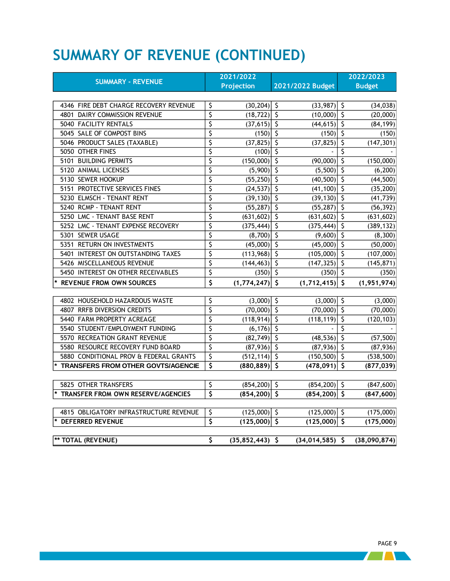# <span id="page-11-0"></span>**SUMMARY OF REVENUE (CONTINUED)**

|                                        |                         | 2021/2022         |                         |                     | 2022/2023 |               |
|----------------------------------------|-------------------------|-------------------|-------------------------|---------------------|-----------|---------------|
| <b>SUMMARY - REVENUE</b>               |                         | <b>Projection</b> |                         | 2021/2022 Budget    |           | <b>Budget</b> |
|                                        |                         |                   |                         |                     |           |               |
| 4346 FIRE DEBT CHARGE RECOVERY REVENUE | \$                      | $(30, 204)$ \$    |                         | $(33,987)$ \$       |           | (34, 038)     |
| 4801 DAIRY COMMISSION REVENUE          | \$                      | $(18, 722)$ \$    |                         | $(10,000)$ \$       |           | (20,000)      |
| 5040 FACILITY RENTALS                  | \$                      | $(37,615)$ \$     |                         | $(44, 615)$ \$      |           | (84, 199)     |
| 5045 SALE OF COMPOST BINS              | \$                      | $(150)$ \$        |                         | $(150)$ \$          |           | (150)         |
| 5046 PRODUCT SALES (TAXABLE)           | \$                      | $(37, 825)$ \$    |                         | $(37, 825)$ \$      |           | (147, 301)    |
| 5050 OTHER FINES                       | \$                      | (100)             | $\zeta$                 |                     | \$        |               |
| 5101 BUILDING PERMITS                  | \$                      | (150,000)         | $\overline{\mathsf{S}}$ | (90,000)            | \$        | (150,000)     |
| 5120 ANIMAL LICENSES                   | \$                      | (5,900)           | $\zeta$                 | $(5,500)$ \$        |           | (6, 200)      |
| 5130 SEWER HOOKUP                      | \$                      | (55, 250)         | ऽ                       | $(40,500)$ \$       |           | (44, 500)     |
| 5151 PROTECTIVE SERVICES FINES         | \$                      | (24, 537)         | $\overline{\varsigma}$  | $(41, 100)$ \$      |           | (35, 200)     |
| 5230 ELMSCH - TENANT RENT              | \$                      | $(39, 130)$ \$    |                         | $(39, 130)$ \$      |           | (41, 739)     |
| 5240 RCMP - TENANT RENT                | \$                      | $(55, 287)$ \$    |                         | $(55, 287)$ \$      |           | (56, 392)     |
| 5250 LMC - TENANT BASE RENT            | \$                      | $(631,602)$ \$    |                         | $(631,602)$ \$      |           | (631, 602)    |
| 5252 LMC - TENANT EXPENSE RECOVERY     | \$                      | $(375, 444)$ \$   |                         | $(375, 444)$ \$     |           | (389, 132)    |
| 5301 SEWER USAGE                       | \$                      | $(8,700)$ \$      |                         | $(9,600)$ \$        |           | (8, 300)      |
| 5351 RETURN ON INVESTMENTS             | \$                      | (45,000)          | $\overline{\varsigma}$  | $(45,000)$ \$       |           | (50,000)      |
| 5401 INTEREST ON OUTSTANDING TAXES     | \$                      | (113,968)         | $\overline{\varsigma}$  | $(105,000)$ \$      |           | (107,000)     |
| 5426 MISCELLANEOUS REVENUE             | \$                      | $(144, 463)$ \$   |                         | $(147, 325)$ \$     |           | (145, 871)    |
| 5450 INTEREST ON OTHER RECEIVABLES     | \$                      | $(350)$ \$        |                         | $(350)$ \$          |           | (350)         |
| <b>REVENUE FROM OWN SOURCES</b>        | \$                      | $(1,774,247)$ \$  |                         | $(1,712,415)$ \$    |           | (1,951,974)   |
|                                        |                         |                   |                         |                     |           |               |
| 4802 HOUSEHOLD HAZARDOUS WASTE         | \$                      | $(3,000)$ \$      |                         | $(3,000)$ \$        |           | (3,000)       |
| 4807 RRFB DIVERSION CREDITS            | \$                      | $(70,000)$ \$     |                         | $(70,000)$ \$       |           | (70,000)      |
| 5440 FARM PROPERTY ACREAGE             | \$                      | $(118, 914)$ \$   |                         | (118, 119)          | ى         | (120, 103)    |
| 5540 STUDENT/EMPLOYMENT FUNDING        | \$                      | $(6, 176)$ \$     |                         |                     | ऽ         |               |
| 5570 RECREATION GRANT REVENUE          | \$                      | $(82, 749)$ \$    |                         | $(48,536)$ \$       |           | (57, 500)     |
| 5580 RESOURCE RECOVERY FUND BOARD      | \$                      | $(87,936)$ \$     |                         | $(87,936)$ \$       |           | (87,936)      |
| 5880 CONDITIONAL PROV & FEDERAL GRANTS | \$                      | $(512, 114)$ \$   |                         | $(150, 500)$ \$     |           | (538, 500)    |
| TRANSFERS FROM OTHER GOVTS/AGENCIE     | \$                      | $(880, 889)$ \$   |                         | $(478,091)$ \$      |           | (877, 039)    |
|                                        |                         |                   |                         |                     |           |               |
| 5825 OTHER TRANSFERS                   | \$                      | $(854, 200)$ \$   |                         | $(854, 200)$ \$     |           | (847, 600)    |
| TRANSFER FROM OWN RESERVE/AGENCIES     | $\overline{\mathsf{s}}$ | $(854, 200)$ \$   |                         | $(854, 200)$ \$     |           | (847, 600)    |
|                                        |                         |                   |                         |                     |           |               |
| 4815 OBLIGATORY INFRASTRUCTURE REVENUE | \$                      | $(125,000)$ \$    |                         | $(125,000)$ \$      |           | (175,000)     |
| <b>DEFERRED REVENUE</b>                | \$                      | $(125,000)$ \$    |                         | (125,000)           | $\zeta$   | (175,000)     |
| ** TOTAL (REVENUE)                     | \$                      | $(35,852,443)$ \$ |                         | $(34, 014, 585)$ \$ |           | (38,090,874)  |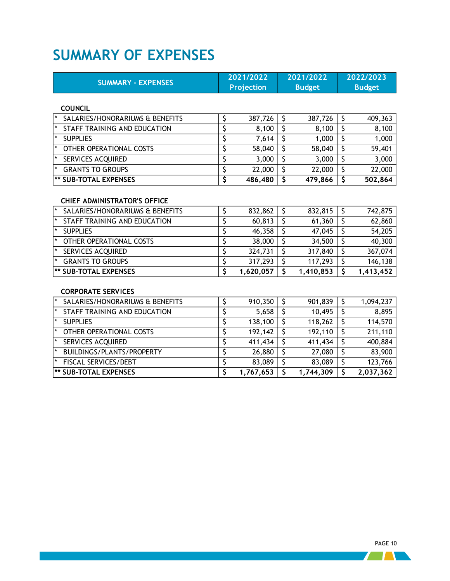### <span id="page-12-0"></span>**SUMMARY OF EXPENSES**

| <b>SUMMARY - EXPENSES</b>         | 2021/2022<br><b>Projection</b> |         | 2021/2022<br><b>Budget</b> |         |         |  | 2022/2023<br><b>Budget</b> |
|-----------------------------------|--------------------------------|---------|----------------------------|---------|---------|--|----------------------------|
| <b>COUNCIL</b>                    |                                |         |                            |         |         |  |                            |
| SALARIES/HONORARIUMS & BENEFITS   |                                | 387,726 | \$.                        | 387,726 | 409,363 |  |                            |
| STAFF TRAINING AND EDUCATION      |                                | 8,100   | Ş                          | 8,100   | 8,100   |  |                            |
| <b>SUPPLIES</b><br>$\ast$         |                                | 7,614   | Ş                          | 1,000   | 1,000   |  |                            |
| OTHER OPERATIONAL COSTS<br>$\ast$ |                                | 58,040  |                            | 58,040  | 59,401  |  |                            |
| SERVICES ACQUIRED                 |                                | 3,000   | \$                         | 3,000   | 3,000   |  |                            |
| <b>GRANTS TO GROUPS</b>           |                                | 22,000  | Ş                          | 22,000  | 22,000  |  |                            |
| <b>** SUB-TOTAL EXPENSES</b>      |                                | 486,480 |                            | 479,866 | 502,864 |  |                            |

### **CHIEF ADMINISTRATOR'S OFFICE**

| $\mathbf{R}$<br>SALARIES/HONORARIUMS & BENEFITS | 832,862   | 832,815   | 742,875   |
|-------------------------------------------------|-----------|-----------|-----------|
| $\star$<br>STAFF TRAINING AND EDUCATION         | 60,813    | 61,360    | 62,860    |
| <b>SUPPLIES</b>                                 | 46,358    | 47,045    | 54,205    |
| ∗<br>OTHER OPERATIONAL COSTS                    | 38,000    | 34,500    | 40,300    |
| <b>SERVICES ACQUIRED</b>                        | 324,731   | 317,840   | 367,074   |
| <b>GRANTS TO GROUPS</b>                         | 317,293   | 117,293   | 146,138   |
| <b>** SUB-TOTAL EXPENSES</b>                    | 1,620,057 | 1,410,853 | 1,413,452 |

### **CORPORATE SERVICES**

| SALARIES/HONORARIUMS & BENEFITS | 910,350   | 901,839   | 1,094,237 |
|---------------------------------|-----------|-----------|-----------|
| STAFF TRAINING AND EDUCATION    | 5,658     | 10,495    | 8,895     |
| <b>SUPPLIES</b>                 | 138,100   | 118,262   | 114,570   |
| OTHER OPERATIONAL COSTS         | 192,142   | 192,110   | 211,110   |
| <b>SERVICES ACQUIRED</b>        | 411,434   | 411,434   | 400,884   |
| BUILDINGS/PLANTS/PROPERTY       | 26,880    | 27,080    | 83,900    |
| <b>FISCAL SERVICES/DEBT</b>     | 83,089    | 83,089    | 123,766   |
| <b> ** SUB-TOTAL EXPENSES</b>   | 1,767,653 | 1,744,309 | 2,037,362 |

 $\sqrt{1}$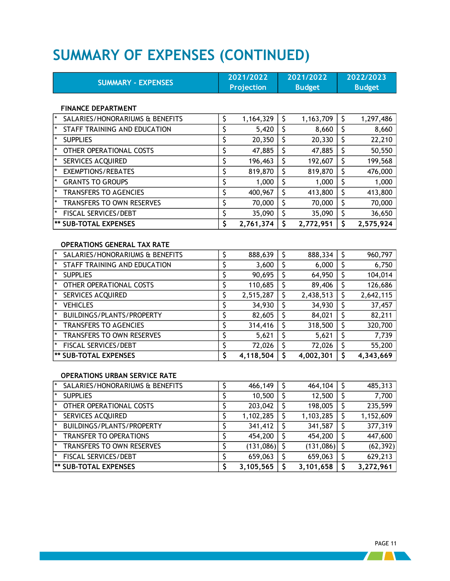# <span id="page-13-0"></span>**SUMMARY OF EXPENSES (CONTINUED)**

| <b>SUMMARY - EXPENSES</b>                  |                        | 2021/2022         |                         | 2021/2022     | 2022/2023               |               |  |
|--------------------------------------------|------------------------|-------------------|-------------------------|---------------|-------------------------|---------------|--|
|                                            |                        | <b>Projection</b> |                         | <b>Budget</b> |                         | <b>Budget</b> |  |
|                                            |                        |                   |                         |               |                         |               |  |
| <b>FINANCE DEPARTMENT</b>                  |                        |                   |                         |               |                         |               |  |
| SALARIES/HONORARIUMS & BENEFITS            | \$                     | 1,164,329         | \$                      | 1,163,709     | \$                      | 1,297,486     |  |
| STAFF TRAINING AND EDUCATION               | \$                     | 5,420             | $\overline{\varsigma}$  | 8,660         | $\zeta$                 | 8,660         |  |
| <b>SUPPLIES</b>                            | \$                     | 20,350            | $\overline{\varsigma}$  | 20,330        | $\overline{\mathsf{S}}$ | 22,210        |  |
| OTHER OPERATIONAL COSTS                    | \$                     | 47,885            | \$                      | 47,885        | \$                      | 50,550        |  |
| SERVICES ACQUIRED                          | \$                     | 196,463           | \$                      | 192,607       | \$                      | 199,568       |  |
| $\star$<br><b>EXEMPTIONS/REBATES</b>       | \$                     | 819,870           | \$                      | 819,870       | $\zeta$                 | 476,000       |  |
| <b>GRANTS TO GROUPS</b>                    | \$                     | 1,000             | $\overline{\varsigma}$  | 1,000         | $\overline{\mathsf{S}}$ | 1,000         |  |
| <b>TRANSFERS TO AGENCIES</b>               | \$                     | 400,967           | $\overline{\varsigma}$  | 413,800       | $\zeta$                 | 413,800       |  |
| TRANSFERS TO OWN RESERVES                  | \$                     | 70,000            | $\overline{\varsigma}$  | 70,000        | $\overline{\varsigma}$  | 70,000        |  |
| FISCAL SERVICES/DEBT                       | \$                     | 35,090            | \$                      | 35,090        | \$                      | 36,650        |  |
| <b>** SUB-TOTAL EXPENSES</b>               | Ś                      | 2,761,374         | $\overline{\mathsf{S}}$ | 2,772,951     | $\mathsf{S}$            | 2,575,924     |  |
|                                            |                        |                   |                         |               |                         |               |  |
| <b>OPERATIONS GENERAL TAX RATE</b>         |                        |                   |                         |               |                         |               |  |
| $\star$<br>SALARIES/HONORARIUMS & BENEFITS | \$                     | 888,639           | $\overline{\varsigma}$  | 888,334       | $\zeta$                 | 960,797       |  |
| STAFF TRAINING AND EDUCATION               | \$                     | 3,600             | \$                      | 6,000         | $\overline{\varsigma}$  | 6,750         |  |
| <b>SUPPLIES</b>                            | \$                     | 90,695            | $\overline{\varsigma}$  | 64,950        | $\overline{\varsigma}$  | 104,014       |  |
| OTHER OPERATIONAL COSTS                    | \$                     | 110,685           | $\overline{\varsigma}$  | 89,406        | \$                      | 126,686       |  |
| SERVICES ACQUIRED                          | \$                     | 2,515,287         | \$                      | 2,438,513     | \$                      | 2,642,115     |  |
| <b>VEHICLES</b>                            | \$                     | 34,930            | $\overline{\varsigma}$  | 34,930        | \$                      | 37,457        |  |
| BUILDINGS/PLANTS/PROPERTY                  | \$                     | 82,605            | $\overline{\varsigma}$  | 84,021        | \$                      | 82,211        |  |
| <b>TRANSFERS TO AGENCIES</b>               | \$                     | 314,416           | $\overline{\varsigma}$  | 318,500       | \$                      | 320,700       |  |
| TRANSFERS TO OWN RESERVES                  | \$                     | 5,621             | $\overline{\varsigma}$  | 5,621         | $\overline{\varsigma}$  | 7,739         |  |
| FISCAL SERVICES/DEBT                       | \$                     | 72,026            | $\overline{\varsigma}$  | 72,026        | $\overline{\varsigma}$  | 55,200        |  |
| <b>** SUB-TOTAL EXPENSES</b>               | Ś                      | 4,118,504         | $\overline{\mathsf{s}}$ | 4,002,301     | $\overline{\mathsf{s}}$ | 4,343,669     |  |
| <b>OPERATIONS URBAN SERVICE RATE</b>       |                        |                   |                         |               |                         |               |  |
| SALARIES/HONORARIUMS & BENEFITS            | \$                     | 466,149           | \$                      | 464,104       | \$                      | 485,313       |  |
| <b>SUPPLIES</b>                            | $\overline{\varsigma}$ | 10,500            | \$                      | 12,500        | $\overline{\mathsf{S}}$ | 7,700         |  |
| OTHER OPERATIONAL COSTS                    | \$                     | 203,042           | \$                      | 198,005       | $\overline{\mathsf{S}}$ | 235,599       |  |
| SERVICES ACQUIRED                          | \$                     | 1,102,285         | \$                      | 1,103,285     | $\overline{\varsigma}$  | 1,152,609     |  |
| BUILDINGS/PLANTS/PROPERTY                  | \$                     | 341,412           | \$                      | 341,587       | \$                      | 377,319       |  |

\* TRANSFER TO OPERATIONS \$ 454,200 \$ 454,200 \$ 447,600 \* TRANSFERS TO OWN RESERVES \$ (131,086) \$ (131,086) \$ (62,392) \* FISCAL SERVICES/DEBT \$ 659,063 \$ 659,063 \$ 629,213 **\*\* SUB-TOTAL EXPENSES \$ 3,105,565 \$ 3,101,658 \$ 3,272,961**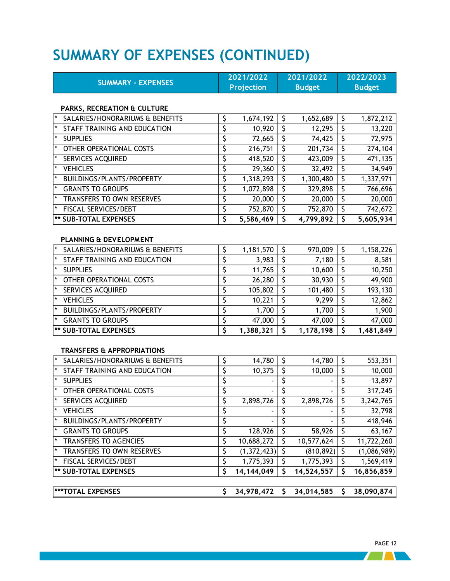# <span id="page-14-0"></span>**SUMMARY OF EXPENSES (CONTINUED)**

| <b>SUMMARY - EXPENSES</b>                  |    | 2021/2022         |                         | 2021/2022     | 2022/2023               |               |  |
|--------------------------------------------|----|-------------------|-------------------------|---------------|-------------------------|---------------|--|
|                                            |    | <b>Projection</b> |                         | <b>Budget</b> |                         | <b>Budget</b> |  |
| PARKS, RECREATION & CULTURE                |    |                   |                         |               |                         |               |  |
| SALARIES/HONORARIUMS & BENEFITS            | \$ | 1,674,192         | \$                      | 1,652,689     | \$                      | 1,872,212     |  |
| STAFF TRAINING AND EDUCATION               | \$ | 10,920            | \$                      | 12,295        | \$                      | 13,220        |  |
| <b>SUPPLIES</b>                            | \$ | 72,665            | $\overline{\varsigma}$  | 74,425        | $\overline{\mathsf{S}}$ | 72,975        |  |
| OTHER OPERATIONAL COSTS                    | \$ | 216,751           | $\overline{\varsigma}$  | 201,734       | \$                      | 274,104       |  |
| SERVICES ACQUIRED                          | \$ | 418,520           | \$                      | 423,009       | \$                      | 471,135       |  |
| <b>VEHICLES</b>                            | \$ | 29,360            | $\overline{\varsigma}$  | 32,492        | \$                      | 34,949        |  |
| BUILDINGS/PLANTS/PROPERTY                  | \$ | 1,318,293         | \$                      | 1,300,480     | $\zeta$                 | 1,337,971     |  |
| <b>GRANTS TO GROUPS</b>                    | \$ | 1,072,898         | \$                      | 329,898       | \$                      | 766,696       |  |
| TRANSFERS TO OWN RESERVES                  | \$ | 20,000            | $\overline{\varsigma}$  | 20,000        | \$                      | 20,000        |  |
| FISCAL SERVICES/DEBT                       | \$ | 752,870           | $\overline{\mathsf{S}}$ | 752,870       | $\mathsf{\hat{S}}$      | 742,672       |  |
| <b>** SUB-TOTAL EXPENSES</b>               | \$ | 5,586,469         | \$                      | 4,799,892     | \$                      | 5,605,934     |  |
| PLANNING & DEVELOPMENT                     |    |                   |                         |               |                         |               |  |
| $\star$<br>SALARIES/HONORARIUMS & BENEFITS | \$ | 1,181,570         | \$                      | 970,009       | \$                      | 1,158,226     |  |
| STAFF TRAINING AND EDUCATION               | \$ | 3,983             | \$                      | 7,180         | \$                      | 8,581         |  |
| <b>SUPPLIES</b>                            | \$ | 11,765            | $\overline{\varsigma}$  | 10,600        | \$                      | 10,250        |  |
| OTHER OPERATIONAL COSTS                    | \$ | 26,280            | $\overline{\varsigma}$  | 30,930        | \$                      | 49,900        |  |
| SERVICES ACQUIRED                          | \$ | 105,802           | \$                      | 101,480       | \$                      | 193,130       |  |
| <b>VEHICLES</b>                            | \$ | 10,221            | \$                      | 9,299         | \$                      | 12,862        |  |
| BUILDINGS/PLANTS/PROPERTY                  | \$ | 1,700             | \$                      | 1,700         | \$                      | 1,900         |  |
| <b>GRANTS TO GROUPS</b>                    | \$ | 47,000            | \$                      | 47,000        | $\overline{\varsigma}$  | 47,000        |  |
| <b>** SUB-TOTAL EXPENSES</b>               | \$ | 1,388,321         | $\overline{\mathsf{s}}$ | 1,178,198     | Ś                       | 1,481,849     |  |
| <b>TRANSFERS &amp; APPROPRIATIONS</b>      |    |                   |                         |               |                         |               |  |
| SALARIES/HONORARIUMS & BENEFITS            | \$ | 14,780            | \$                      | 14,780        | \$                      | 553,351       |  |
| STAFF TRAINING AND EDUCATION               | \$ | 10,375            | $\overline{\varsigma}$  | 10,000        | \$                      | 10,000        |  |
| <b>SUPPLIES</b>                            | \$ |                   | \$                      |               | \$                      | 13,897        |  |
| OTHER OPERATIONAL COSTS                    | \$ |                   | $\overline{\mathsf{S}}$ |               | \$                      | 317,245       |  |
| <b>SERVICES ACQUIRED</b>                   | Ś  | 2,898,726         | $\overline{\varsigma}$  | 2,898,726     | $\mathsf{S}$            | 3,242,765     |  |
| $\star$<br><b>VEHICLES</b>                 | \$ |                   | \$                      |               | \$                      | 32,798        |  |
| $\star$<br>BUILDINGS/PLANTS/PROPERTY       | \$ |                   | \$                      |               | \$                      | 418,946       |  |
| <b>GRANTS TO GROUPS</b>                    | \$ | 128,926           | \$                      | 58,926        | \$                      | 63,167        |  |
| <b>TRANSFERS TO AGENCIES</b>               | \$ | 10,688,272        | \$                      | 10,577,624    | \$                      | 11,722,260    |  |
| TRANSFERS TO OWN RESERVES                  | \$ | (1,372,423)       | $\overline{\varsigma}$  | (810, 892)    | \$                      | (1,086,989)   |  |
| *<br>FISCAL SERVICES/DEBT                  | \$ | 1,775,393         | $\overline{\varsigma}$  | 1,775,393     | \$                      | 1,569,419     |  |
| <b>** SUB-TOTAL EXPENSES</b>               | \$ | 14, 144, 049      | $\overline{\mathsf{S}}$ | 14,524,557    | \$                      | 16,856,859    |  |
|                                            |    |                   |                         |               |                         |               |  |
| ***TOTAL EXPENSES                          | \$ | 34,978,472        | \$                      | 34,014,585    | \$                      | 38,090,874    |  |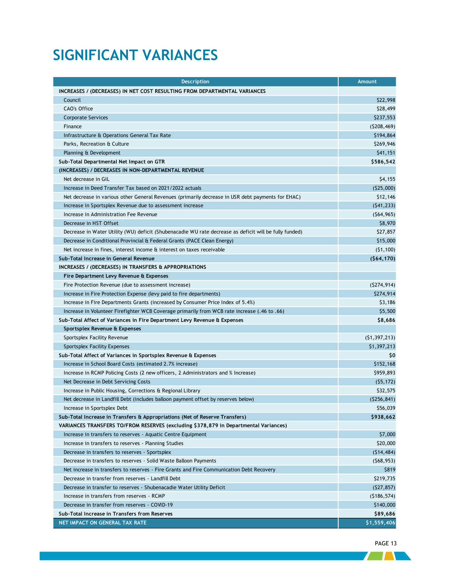## <span id="page-15-0"></span>**SIGNIFICANT VARIANCES**

| <b>Description</b>                                                                                     | <b>Amount</b>  |
|--------------------------------------------------------------------------------------------------------|----------------|
| INCREASES / (DECREASES) IN NET COST RESULTING FROM DEPARTMENTAL VARIANCES                              |                |
| Council                                                                                                | \$22,998       |
| CAO's Office                                                                                           | \$28,499       |
| Corporate Services                                                                                     | \$237,553      |
| Finance                                                                                                | (5208, 469)    |
| Infrastructure & Operations General Tax Rate                                                           | \$194,864      |
| Parks, Recreation & Culture                                                                            | \$269,946      |
| Planning & Development                                                                                 | \$41,151       |
| Sub-Total Departmental Net Impact on GTR                                                               | \$586,542      |
| (INCREASES) / DECREASES IN NON-DEPARTMENTAL REVENUE                                                    |                |
| Net decrease in GIL                                                                                    | \$4,155        |
| Increase in Deed Transfer Tax based on 2021/2022 actuals                                               | (525,000)      |
| Net decrease in various other General Revenues (primarily decrease in USR debt payments for EHAC)      | \$12,146       |
| Increase in Sportsplex Revenue due to assessment increase                                              | (541, 233)     |
| Increase in Administration Fee Revenue                                                                 | (564, 965)     |
| Decrease in HST Offset                                                                                 | \$8,970        |
| Decrease in Water Utility (WU) deficit (Shubenacadie WU rate decrease as deficit will be fully funded) | \$27,857       |
| Decrease in Conditional Provincial & Federal Grants (PACE Clean Energy)                                | \$15,000       |
| Net increase in fines, interest income & interest on taxes receivable                                  | (51, 100)      |
| Sub-Total Increase in General Revenue                                                                  | (564, 170)     |
| INCREASES / (DECREASES) IN TRANSFERS & APPROPRIATIONS                                                  |                |
| Fire Department Levy Revenue & Expenses                                                                |                |
| Fire Protection Revenue (due to assessment increase)                                                   | (5274, 914)    |
| Increase in Fire Protection Expense (levy paid to fire departments)                                    | \$274,914      |
| Increase in Fire Departments Grants (increased by Consumer Price Index of 5.4%)                        | \$3,186        |
| (66). Increase in Volunteer Firefighter WCB Coverage primarily from WCB rate increase (.46 to .66)     | \$5,500        |
| Sub-Total Affect of Variances in Fire Department Levy Revenue & Expenses                               | \$8,686        |
| Sportsplex Revenue & Expenses                                                                          |                |
| Sportsplex Facility Revenue                                                                            | (51, 397, 213) |
| Sportsplex Facility Expenses                                                                           | \$1,397,213    |
| Sub-Total Affect of Variances in Sportsplex Revenue & Expenses                                         | \$0            |
| Increase in School Board Costs (estimated 2.7% increase)                                               | \$152,168      |
| Increase in RCMP Policing Costs (2 new officers, 2 Administrators and % Increase)                      | \$959,893      |
| Net Decrease in Debt Servicing Costs                                                                   | (55, 172)      |
| Increase in Public Housing, Corrections & Regional Library                                             | \$32,575       |
| Net decrease in Landfill Debt (includes balloon payment offset by reserves below)                      | ( \$256, 841)  |
| Increase in Sportsplex Debt                                                                            | \$56,039       |
| Sub-Total Increase in Transfers & Appropriations (Net of Reserve Transfers)                            | \$938,662      |
| VARIANCES TRANSFERS TO/FROM RESERVES (excluding \$378,879 in Departmental Variances)                   |                |
| Increase in transfers to reserves - Aquatic Centre Equipment                                           | \$7,000        |
| Increase in transfers to reserves - Planning Studies                                                   | \$20,000       |
| Decrease in transfers to reserves - Sportsplex                                                         | (514, 484)     |
| Decrease in transfers to reserves - Solid Waste Balloon Payments                                       | (568, 953)     |
| Net increase in transfers to reserves - Fire Grants and Fire Communication Debt Recovery               | \$819          |
| Decrease in transfer from reserves - Landfill Debt                                                     | \$219,735      |
| Decrease in transfer to reserves - Shubenacadie Water Utility Deficit                                  | (527, 857)     |
| Increase in transfers from reserves - RCMP                                                             | (5186, 574)    |
| Decrease in transfer from reserves - COVID-19                                                          | \$140,000      |
| Sub-Total Increase in Transfers from Reserves                                                          | \$89,686       |
| NET IMPACT ON GENERAL TAX RATE                                                                         | \$1,559,406    |

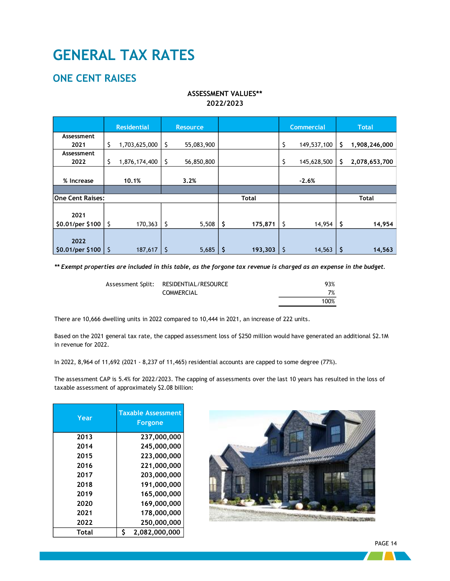## **GENERAL TAX RATES**

### <span id="page-16-0"></span>**ONE CENT RAISES**

### **ASSESSMENT VALUES\*\* 2022/2023**

|                          | <b>Residential</b>  | <b>Resource</b>  |    |              | <b>Commercial</b> |     | <b>Total</b>  |
|--------------------------|---------------------|------------------|----|--------------|-------------------|-----|---------------|
| Assessment               |                     |                  |    |              |                   |     |               |
| 2021                     | \$<br>1,703,625,000 | \$<br>55,083,900 |    |              | \$<br>149,537,100 | \$  | 1,908,246,000 |
| Assessment               |                     |                  |    |              |                   |     |               |
| 2022                     | \$<br>1,876,174,400 | \$<br>56,850,800 |    |              | \$<br>145,628,500 | S   | 2,078,653,700 |
|                          |                     |                  |    |              |                   |     |               |
| % Increase               | 10.1%               | 3.2%             |    |              | $-2.6%$           |     |               |
|                          |                     |                  |    |              |                   |     |               |
| <b>One Cent Raises:</b>  |                     |                  |    | <b>Total</b> |                   |     | <b>Total</b>  |
| 2021                     |                     |                  |    |              |                   |     |               |
| \$0.01/per \$100         | \$<br>170,363       | \$<br>5,508      | \$ | 175,871      | \$<br>14,954      | \$. | 14,954        |
| 2022<br>\$0.01/per \$100 | \$<br>187,617       | \$<br>5,685      | S  | 193,303      | \$<br>14,563      | \$  | 14,563        |

*\*\* Exempt properties are included in this table, as the forgone tax revenue is charged as an expense in the budget.*

| Assessment Split: RESIDENTIAL/RESOURCE | 93%  |
|----------------------------------------|------|
| <b>COMMERCIAL</b>                      | 7%   |
|                                        | 100% |

There are 10,666 dwelling units in 2022 compared to 10,444 in 2021, an increase of 222 units.

Based on the 2021 general tax rate, the capped assessment loss of \$250 million would have generated an additional \$2.1M in revenue for 2022.

In 2022, 8,964 of 11,692 (2021 - 8,237 of 11,465) residential accounts are capped to some degree (77%).

The assessment CAP is 5.4% for 2022/2023. The capping of assessments over the last 10 years has resulted in the loss of taxable assessment of approximately \$2.08 billion:

| Year  | <b>Taxable Assessment</b><br>Forgone |
|-------|--------------------------------------|
| 2013  | 237,000,000                          |
| 2014  | 245,000,000                          |
| 2015  | 223,000,000                          |
| 2016  | 221,000,000                          |
| 2017  | 203,000,000                          |
| 2018  | 191,000,000                          |
| 2019  | 165,000,000                          |
| 2020  | 169,000,000                          |
| 2021  | 178,000,000                          |
| 2022  | 250,000,000                          |
| Total | Ś<br>2,082,000,000                   |



PAGE 14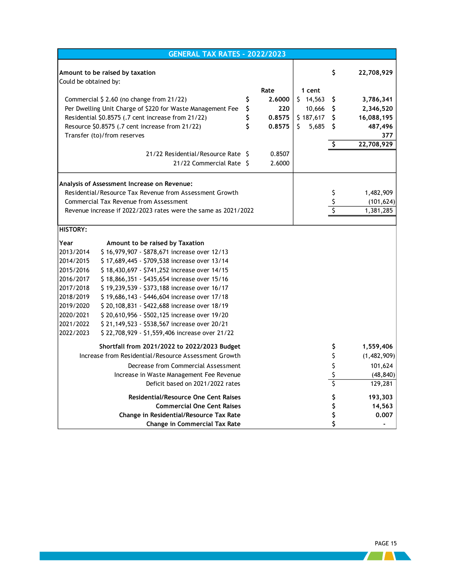|                       | <b>GENERAL TAX RATES - 2022/2023</b>                           |              |             |            |             |
|-----------------------|----------------------------------------------------------------|--------------|-------------|------------|-------------|
|                       | Amount to be raised by taxation                                |              |             | \$         | 22,708,929  |
| Could be obtained by: |                                                                |              |             |            |             |
|                       |                                                                | Rate         | 1 cent      |            |             |
|                       | Commercial \$ 2.60 (no change from 21/22)                      | \$<br>2.6000 | \$14,563    | Ş          | 3,786,341   |
|                       | Per Dwelling Unit Charge of \$220 for Waste Management Fee     | \$<br>220    | 10,666      | $\zeta$    | 2,346,520   |
|                       | Residential \$0.8575 (.7 cent increase from 21/22)             | \$<br>0.8575 | \$187,617   | $\sqrt{2}$ | 16,088,195  |
|                       | Resource \$0.8575 (.7 cent increase from 21/22)                | \$<br>0.8575 | Š.<br>5,685 | Ŝ          | 487,496     |
|                       | Transfer (to)/from reserves                                    |              |             |            | 377         |
|                       |                                                                |              |             | \$         | 22,708,929  |
|                       | 21/22 Residential/Resource Rate S                              | 0.8507       |             |            |             |
|                       | 21/22 Commercial Rate \$                                       | 2.6000       |             |            |             |
|                       |                                                                |              |             |            |             |
|                       | Analysis of Assessment Increase on Revenue:                    |              |             |            |             |
|                       | Residential/Resource Tax Revenue from Assessment Growth        |              |             | \$         | 1,482,909   |
|                       | Commercial Tax Revenue from Assessment                         |              |             |            | (101, 624)  |
|                       | Revenue increase if 2022/2023 rates were the same as 2021/2022 |              |             |            | 1,381,285   |
|                       |                                                                |              |             |            |             |
| <b>HISTORY:</b>       |                                                                |              |             |            |             |
| Year                  | Amount to be raised by Taxation                                |              |             |            |             |
| 2013/2014             | \$16,979,907 - \$878,671 increase over 12/13                   |              |             |            |             |
| 2014/2015             | \$17,689,445 - \$709,538 increase over 13/14                   |              |             |            |             |
| 2015/2016             | \$18,430,697 - \$741,252 increase over 14/15                   |              |             |            |             |
| 2016/2017             | \$18,866,351 - \$435,654 increase over 15/16                   |              |             |            |             |
| 2017/2018             | \$19,239,539 - \$373,188 increase over 16/17                   |              |             |            |             |
| 2018/2019             | \$19,686,143 - \$446,604 increase over 17/18                   |              |             |            |             |
| 2019/2020             | \$20,108,831 - \$422,688 increase over 18/19                   |              |             |            |             |
| 2020/2021             | \$20,610,956 - \$502,125 increase over 19/20                   |              |             |            |             |
| 2021/2022             | \$21,149,523 - \$538,567 increase over 20/21                   |              |             |            |             |
| 2022/2023             | \$22,708,929 - \$1,559,406 increase over 21/22                 |              |             |            |             |
|                       | Shortfall from 2021/2022 to 2022/2023 Budget                   |              |             | \$         | 1,559,406   |
|                       | Increase from Residential/Resource Assessment Growth           |              |             | \$         | (1,482,909) |
|                       | Decrease from Commercial Assessment                            |              |             | \$         | 101,624     |
|                       | Increase in Waste Management Fee Revenue                       |              |             | \$         | (48, 840)   |
|                       | Deficit based on 2021/2022 rates                               |              |             | \$         | 129,281     |
|                       | <b>Residential/Resource One Cent Raises</b>                    |              |             | \$         | 193,303     |
|                       | <b>Commercial One Cent Raises</b>                              |              |             | \$         | 14,563      |
|                       | Change in Residential/Resource Tax Rate                        |              |             | \$         | 0.007       |
|                       | <b>Change in Commercial Tax Rate</b>                           |              |             | \$         |             |

 $\sqrt{2}$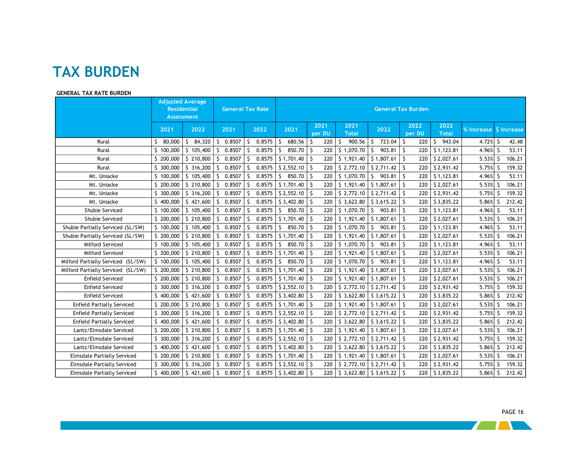### **TAX BURDEN**

#### **GENERAL TAX RATE BURDEN**

|                                    | <b>Assessment</b> | <b>Adjusted Average</b><br><b>Residential</b> |              | <b>General Tax Rate</b> | <b>General Tax Burden</b> |                |                      |                           |                |                      |            |             |        |
|------------------------------------|-------------------|-----------------------------------------------|--------------|-------------------------|---------------------------|----------------|----------------------|---------------------------|----------------|----------------------|------------|-------------|--------|
|                                    | 2021              | 2022                                          | 2021         | 2022                    | 2021                      | 2021<br>per DU | 2021<br><b>Total</b> | 2022                      | 2022<br>per DU | 2022<br><b>Total</b> | % Increase | \$ Increase |        |
| Rural                              | 80,000<br>Ŝ       | \$84,320                                      | S.<br>0.8507 | 0.8575<br>-S            | 680.56<br>S.              | S.<br>220      | \$<br>900.56         | 723.04<br>$\zeta$         | \$<br>220      | S.<br>943.04         | 4.72%      | -S          | 42.48  |
| Rural                              | \$100,000         | \$105,400                                     | Ŝ.<br>0.8507 | 0.8575<br>-S            | 850.70<br>Ś               | -Ŝ<br>220      | \$1,070.70           | 903.81<br>S.              | -S<br>220      | \$1,123.81           | 4.96%      | -S          | 53.11  |
| Rural                              | Š.<br>200,000     | \$210,800                                     | 0.8507<br>S. | 0.8575<br><sub>S</sub>  | \$1,701.40                | 220<br>-S      | \$1,921.40           | \$1,807.61                | S.<br>220      | \$2,027.61           | 5.53%      | -S          | 106.21 |
| Rural                              | \$ 300,000        | \$316,200                                     | 0.8507<br>Ŝ. | 0.8575<br>-S            | \$2,552.10                | -S<br>220      | \$2,772.10           | $S$ 2,711.42              | l \$<br>220    | \$2,931.42           | 5.75%      | -S          | 159.32 |
| Mt. Uniacke                        | \$100,000         | \$105,400                                     | 0.8507<br>Š. | 0.8575                  | 850.70<br>Ŝ.              | -S<br>220      | \$1,070.70           | S.<br>903.81              | -\$<br>220     | \$1,123.81           | 4.96%      |             | 53.11  |
| Mt. Uniacke                        | \$200,000         | \$ 210,800                                    | 0.8507<br>Ś. | 0.8575<br>S.            | \$1,701.40                | -Ŝ<br>220      | \$1,921.40           | \$1,807.61                | Ŝ.<br>220      | \$2,027.61           | 5.53%      | -S          | 106.21 |
| Mt. Uniacke                        | 300,000<br>S.     | \$316,200                                     | 0.8507<br>Š. | 0.8575<br>-S            | \$2,552.10                | -S<br>220      | \$2,772.10           | \$2,711.42                | S.<br>220      | \$2,931.42           | 5.75%      | -S          | 159.32 |
| Mt. Uniacke                        | 400,000           | \$421,600                                     | 0.8507<br>Š. | 0.8575                  | \$3,402.80                | 220<br>Ŝ       | \$3,622.80           | \$3,615.22                | Ŝ<br>220       | \$3,835.22           | 5.86%      |             | 212.42 |
| Shubie Serviced                    | \$100,000         | \$105,400                                     | 0.8507<br>Š. | 0.8575<br>-S            | 850.70<br>Ŝ.              | -S<br>220      | \$1,070.70           | \$903.81                  | Ŝ.<br>220      | \$1,123.81           | 4.96%      |             | 53.11  |
| Shubie Serviced                    | \$200,000         | \$210,800                                     | 0.8507<br>Ŝ. | 0.8575<br>-S            | \$1,701.40                | Ŝ.<br>220      | \$1,921.40           | \$1,807.61                | S.<br>220      | \$2,027.61           | 5.53%      | -S          | 106.21 |
| Shubie Partially Serviced (SL/SW)  | \$100,000         | \$105,400                                     | Ŝ.<br>0.8507 | 0.8575<br>-S            | Ŝ.<br>850.70              | -S<br>220      | \$1,070.70           | 903.81<br>$\mathsf{S}$    | -\$<br>220     | \$1,123.81           | 4.96%      | -S          | 53.11  |
| Shubie Partially Serviced (SL/SW)  | \$200,000         | \$ 210,800                                    | 0.8507<br>Ś. | 0.8575<br>S.            | \$1,701.40                | Ŝ.<br>220      | \$1,921.40           | \$1,807.61                | S.<br>220      | \$2,027.61           | 5.53%      | -S          | 106.21 |
| Milford Serviced                   | \$100,000         | \$105,400                                     | 0.8507<br>S. | 0.8575<br>-S            | 850.70<br>Ŝ.              | -S<br>220      | \$1,070.70           | 903.81<br>S.              | S.<br>220      | \$1,123.81           | 4.96%      |             | 53.11  |
| Milford Serviced                   | \$ 200,000        | \$210,800                                     | 0.8507<br>S. | 0.8575<br>-S            | \$1,701.40                | 220<br>-S      | \$1,921.40           | \$1,807.61                | S,<br>220      | \$2,027.61           | $5.53%$ \$ |             | 106.21 |
| Milford Partially Serviced (SL/SW) | \$100,000         | \$105,400                                     | 0.8507<br>S. | 0.8575<br>S.            | 850.70<br>S.              | 220<br>-S      | \$1,070.70           | 903.81<br>$\mathsf{S}$    | \$<br>220      | \$1,123.81           | 4.96%      |             | 53.11  |
| Milford Partially Serviced (SL/SW) | \$ 200,000        | \$210,800                                     | Š.<br>0.8507 | 0.8575<br>S.            | \$1,701.40                | -S<br>220      | \$1,921.40           | \$1,807.61                | S.<br>220      | \$2,027.61           | 5.53%      | -Ŝ          | 106.21 |
| <b>Enfield Serviced</b>            | \$200,000         | \$210,800                                     | 0.8507<br>Š. | 0.8575                  | \$1,701.40                | 220<br>-S      | \$1,921.40           | \$1,807.61                | S.<br>220      | \$2,027.61           | 5.53%      | -S          | 106.21 |
| <b>Enfield Serviced</b>            | \$ 300,000        | \$316,200                                     | Ŝ.<br>0.8507 | 0.8575<br>-S            | \$2,552.10                | -S<br>220      | \$2,772.10           | \$2,711.42                | l \$<br>220    | \$2,931.42           | 5.75%      | -S          | 159.32 |
| Enfield Serviced                   | 400,000           | \$421,600                                     | 0.8507<br>Š. | 0.8575                  | \$3,402.80                | -S<br>220      | \$3,622.80           | \$3,615.22                | -S<br>220      | \$3,835.22           | 5.86%      |             | 212.42 |
| <b>Enfield Partially Serviced</b>  | \$200,000         | \$210,800                                     | Ŝ.<br>0.8507 | 0.8575<br>-S            | \$1,701.40                | -S<br>220      | \$1,921.40           | \$1,807.61                | S.<br>220      | \$2,027.61           | 5.53%      |             | 106.21 |
| <b>Enfield Partially Serviced</b>  | 300,000<br>S.     | \$316,200                                     | 0.8507<br>S  | 0.8575<br>-S            | \$2,552.10                | 220<br>Ŝ       | \$2,772.10           | \$2,711.42                | S,<br>220      | \$2,931.42           | 5.75%      | -S          | 159.32 |
| <b>Enfield Partially Serviced</b>  | 400,000           | \$421,600                                     | 0.8507<br>\$ | 0.8575                  | \$3,402.80                | 220<br>Ŝ       | \$3,622.80           | \$3,615.22                | S,<br>220      | \$3,835.22           | 5.86%      |             | 212.42 |
| Lantz/Elmsdale Serviced            | \$.<br>200,000    | \$210,800                                     | 0.8507<br>Š. | 0.8575<br>-S            | \$1,701.40                | -S<br>220      | \$1,921.40           | \$1,807.61                | Ŝ.<br>220      | \$2,027.61           | 5.53%      | -S          | 106.21 |
| Lantz/Elmsdale Serviced            | 300,000<br>Š.     | \$316,200                                     | 0.8507<br>Ŝ. | 0.8575<br>-S            | \$2,552.10                | 220<br>S.      | \$2,772.10           | \$2,711.42                | -S<br>220      | \$2,931.42           | 5.75%      | -S          | 159.32 |
| Lantz/Elmsdale Serviced            | 400,000<br>Ś.     | \$421,600                                     | 0.8507<br>Ŝ. | 0.8575<br>-S            | \$3,402.80                | -S<br>220      | \$3,622.80           | \$3,615.22                | 5<br>220       | \$3,835.22           | 5.86%      | -S          | 212.42 |
| <b>Elmsdale Partially Serviced</b> | \$200,000         | \$210,800                                     | 0.8507<br>S. | 0.8575<br>S.            | \$1,701.40                | S.<br>220      | \$1,921.40           | \$1,807.61                | -\$<br>220     | \$2,027.61           | 5.53%      | -S          | 106.21 |
| <b>Elmsdale Partially Serviced</b> | S.<br>300,000     | \$316,200                                     | 0.8507<br>Ŝ. | 0.8575                  | \$2,552.10                | -S<br>220      | \$2,772.10           | \$2,711.42                | S.<br>220      | \$2,931.42           | 5.75%      |             | 159.32 |
| <b>Elmsdale Partially Serviced</b> | S.<br>400,000     | \$421,600                                     | 0.8507<br>-S | 0.8575<br>-S            | \$3,402.80                | -S<br>220      | \$3,622.80           | $\frac{1}{2}$ \$ 3,615.22 | -S             | 220 \$3,835.22       | 5.86%      | -S          | 212.42 |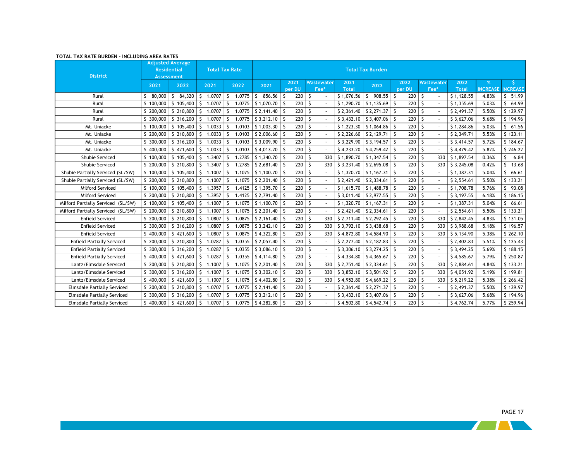| IUIAL IAX KAIE BURDEN - INCLUDING AREA KAIES |                    | <b>Adjusted Average</b>  |              |                       |                        |                   |            |              |                             |                     |            |              |                 |                 |
|----------------------------------------------|--------------------|--------------------------|--------------|-----------------------|------------------------|-------------------|------------|--------------|-----------------------------|---------------------|------------|--------------|-----------------|-----------------|
|                                              | <b>Residential</b> |                          |              | <b>Total Tax Rate</b> |                        |                   |            |              | <b>Total Tax Burden</b>     |                     |            |              |                 |                 |
| <b>District</b>                              |                    | <b>Assessment</b>        |              |                       |                        | 2021              | Wastewater | 2021         |                             | 2022                | Wastewater | 2022         |                 |                 |
|                                              | 2021               | 2022                     | 2021         | 2022                  | 2021                   | per DU            | Fee*       | <b>Total</b> | 2022                        | per DU              | Fee*       | <b>Total</b> | <b>INCREASE</b> | <b>INCREASE</b> |
| Rural                                        | S.<br>80,000       | \$84,320                 | \$1.0707     | Ŝ.<br>1.0775          | S.<br>856.56           | 220<br>-S         | S.         | \$1,076.56   | Ŝ.<br>908.55                | 220<br>S.           | ١s         | \$1,128.55   | 4.83%           | \$<br>51.99     |
| Rural                                        | \$100,000          | \$105,400                | \$ 1.0707    | 1.0775<br>ς.          | $$1,070.70$ \ \$       | $220$ \$          |            | \$1,290.70   | \$1,135.69                  | 220<br>S.           | ۱s         | \$1,355.69   | 5.03%           | Š.<br>64.99     |
| Rural                                        | \$ 200,000         | \$210,800                | 1.0707<br>\$ | 1.0775<br>Ś           | $$2,141.40$ \ \$       | 220               | -S         | \$2,361.40   | \$2,271.37                  | 220<br>$\mathsf{S}$ | ۱s         | \$2,491.37   | 5.50%           | \$129.97        |
| Rural                                        | \$300,000          | $\frac{1}{2}$ \$ 316,200 | \$1.0707     | 1.0775<br>\$          | $$3,212.10$ S          | $220$ \$          |            | \$3,432,10   | \$3,407.06                  | $220$ \ \$<br>Ŝ.    |            | \$3,627.06   | 5.68%           | \$194.96        |
| Mt. Uniacke                                  | \$100,000          | \$105,400                | \$<br>1.0033 | Š.<br>1.0103          | $$1,003.30$ \ \$       | $220 \, \text{S}$ |            | \$1,223.30   | \$1,064.86                  | 220                 | l \$       | \$1,284.86   | 5.03%           | \$61.56         |
| Mt. Uniacke                                  | \$200,000          | \$210,800                | 5 1.0033     | 1.0103<br>Ŝ.          | $$2,006.60$ \ \$       | $220$ \$          |            | \$2,226.60   | \$2,129.71                  | 220<br>Ŝ.           | ١s         | \$2,349.71   | 5.53%           | \$123.11        |
| Mt. Uniacke                                  | \$ 300,000         | \$316,200                | \$1.0033     | 1.0103<br>S           | $$3,009.90$ \ \$       | $220$ \$          |            | \$3,229.90   | \$3,194.57                  | 220                 | l \$       | \$3,414.57   | 5.72%           | \$184.67        |
| Mt. Uniacke                                  | \$400,000          | \$421,600                | \$1.0033     | 1.0103<br>Ś           | $$4,013.20$ \ \$       | $220$ \$          |            | \$4,233.20   | \$4,259.42                  | 220                 | l \$       | \$4,479.42   | 5.82%           | \$246.22        |
| Shubie Serviced                              | \$100,000          | \$105,400                | 5 1.3407     | 1.2785<br>ς.          | $$1,340.70$ \ \$       | $220$ \$          | 330        | \$1,890.70   | \$1,347.54                  | 220                 | ۱s<br>330  | \$1,897.54   | 0.36%           | 6.84<br>Š.      |
| Shubie Serviced                              | \$ 200,000         | \$ 210,800               | 1.3407<br>S. | 1.2785<br>ς.          | $$2,681.40$ \ \$       | 220               | - S<br>330 | \$3,231.40   | \$2,695.08                  | 220                 | - S<br>330 | \$3,245.08   | 0.42%           | Ŝ.<br>13.68     |
| Shubie Partially Serviced (SL/SW)            | \$100,000          | $\frac{1}{2}$ 105,400    | \$1.1007     | Ŝ.<br>1.1075          | $$1,100.70$ \ \$       | $220$ \$          |            | \$1,320.70   | \$1,167.31                  | $220$   \$<br>-S    |            | \$1,387.31   | 5.04%           | 66.61<br>S.     |
| Shubie Partially Serviced (SL/SW)            | \$ 200,000         | \$ 210,800               | 1.1007<br>S. | ς.<br>1.1075          | $$2,201.40$ \ \$       | $220 \, \text{S}$ |            | \$2,421.40   | \$2,334.61                  | 220                 | l \$       | \$2,554.61   | 5.50%           | \$133.21        |
| Milford Serviced                             | \$100,000          | \$105,400                | \$1.3957     | 1.4125<br>Š.          | $$1,395.70$ \ \$       | $220$ \$          |            | \$1,615.70   | \$1,488.78                  | 220                 | l s        | \$1,708.78   | 5.76%           | \$93.08         |
| Milford Serviced                             | \$ 200,000         | \$210,800                | \$1.3957     | 1.4125<br>S           | \$2,791.40             | 220               | -S         | \$3,011.40   | \$2,977.55                  | 220                 | ۱s         | \$3,197.55   | 6.18%           | \$186.15        |
| Milford Partially Serviced (SL/SW)           | \$100,000          | \$105,400                | 5 1.1007     | Ś<br>1.1075           | $$1,100.70$ S          | 220               | -S         | \$1,320.70   | \$1,167.31                  | 220                 | ۱s         | \$1,387.31   | 5.04%           | 66.61<br>\$     |
| Milford Partially Serviced (SL/SW)           | \$ 200,000         | \$210,800                | \$1.1007     | ς.<br>1.1075          | $$2,201.40$ \ \$       | 220 <sup>5</sup>  |            | \$2,421.40   | \$2,334.61                  | 220                 | ١s         | \$2,554.61   | 5.50%           | \$133.21        |
| <b>Enfield Serviced</b>                      | \$ 200,000         | \$210,800                | 1.0807<br>S. | 1.0875<br>Ś           | $$2,161.40$ \ \$       | 220               | -S<br>330  | \$2,711.40   | \$2,292.45                  | 220                 | ۱s<br>330  | \$2,842.45   | 4.83%           | \$131.05        |
| <b>Enfield Serviced</b>                      | \$ 300,000         | $\frac{1}{2}$ 316,200    | \$1.0807     | 1.0875<br>Ś           | $$3,242.10$ $$$        | $220$ \$          | 330        | \$3,792,10   | \$3,438.68                  | 220                 | 15<br>330  | \$3,988.68   | 5.18%           | \$196.57        |
| <b>Enfield Serviced</b>                      | \$400,000          | \$421,600                | 1.0807<br>S. | 1.0875<br>ς.          | $$4,322.80$ \ \$       | $220 \, \text{S}$ | 330        | \$4,872.80   | \$4,584.90                  | 220                 | ۱s<br>330  | \$5,134.90   | 5.38%           | \$262.10        |
| <b>Enfield Partially Serviced</b>            | \$200,000          | \$210,800                | 5 1.0287     | 1.0355<br>ς.          | $$2,057.40$ \ \$       | $220$ \$          |            | \$2,277.40   | \$2,182.83                  | 220                 | l s        | \$2,402.83   | 5.51%           | \$125.43        |
| <b>Enfield Partially Serviced</b>            | \$ 300,000         | \$316,200                | 1.0287<br>S. | 1.0355<br>S           | $$3,086.10$ \ \$       | 220               | - S        | \$3,306.10   | \$3,274.25                  | 220                 | l \$       | \$3,494.25   | 5.69%           | \$188.15        |
| <b>Enfield Partially Serviced</b>            | \$400,000          | \$421,600                | 1.0287<br>S. | ς.<br>1.0355          | $$4,114.80$ \ \$       | $220 \, \text{S}$ |            | \$4,334.80   | \$4,365.67                  | 220                 | ١s         | \$4,585.67   | 5.79%           | \$250.87        |
| Lantz/Elmsdale Serviced                      | \$200,000          | \$210,800                | \$1.1007     | 1.1075<br>Š.          | $$2,201.40$ \ \$       | 220               | S.<br>330  | \$2,751.40   | \$2,334.61                  | 220<br>S.           | ۱s<br>330  | \$2,884.61   | 4.84%           | \$133.21        |
| Lantz/Elmsdale Serviced                      | \$ 300,000         | \$316,200                | S.<br>1.1007 | Ś<br>1.1075           | $$3,302.10$ \ \$       | 220               | - S<br>330 | \$3,852,10   | \$3,501.92                  | 220                 | ١s<br>330  | \$4,051.92   | 5.19%           | \$199.81        |
| Lantz/Elmsdale Serviced                      | \$400,000          | \$421,600                | \$1.1007     | 1.1075<br>Ś.          | $$4,402.80$ \ \$       | $220$ \$          | 330        | \$4,952.80   | \$4,669.22                  | $220$ \$<br>-Ŝ      | 330        | \$5,219.22   | 5.38%           | \$266.42        |
| <b>Elmsdale Partially Serviced</b>           | \$200,000          | \$210,800                | \$1.0707     | 1.0775                | $$2,141.40$ \ \$       | $220$ \$          |            | \$2,361.40   | \$2,271.37                  | $220$ \ \$          |            | \$2,491.37   | 5.50%           | \$129.97        |
| <b>Elmsdale Partially Serviced</b>           | \$ 300,000         | \$316,200                | 1.0707<br>S. | 1.0775<br>ς.          | $$3,212.10$ $$$        | 220               | -\$        | \$3,432,10   | \$3,407.06                  | 220                 | -\$        | \$3,627.06   | 5.68%           | \$194.96        |
| <b>Elmsdale Partially Serviced</b>           |                    | $$400,000$ $$421,600$    | \$1.0707     | Ŝ.<br>1.0775          | $54,282.80$ $\sqrt{5}$ | $220$ $S$         |            |              | $$4,502.80$ $$4,542.74$ $$$ | $220$ \ \$          |            | \$4,762.74   | 5.77%           | \$259.94        |

#### **TOTAL TAX RATE BURDEN - INCLUDING AREA RATES**

- 1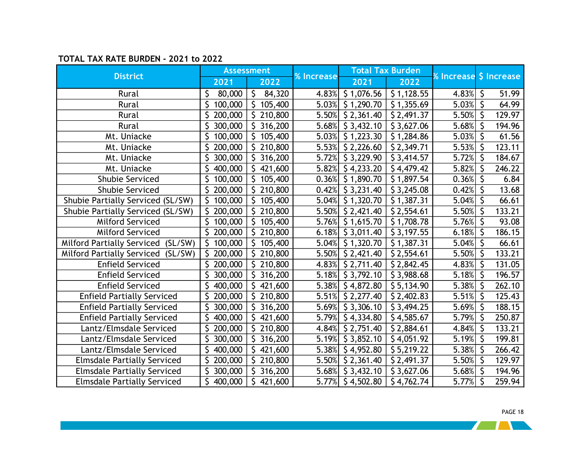### **TOTAL TAX RATE BURDEN - 2021 to 2022**

|                                              |                | <b>Assessment</b> |                   |                           | <b>Total Tax Burden</b> |                        |              |        |
|----------------------------------------------|----------------|-------------------|-------------------|---------------------------|-------------------------|------------------------|--------------|--------|
| <b>District</b>                              | 2021           | 2022              | <b>% Increase</b> | 2021                      | 2022                    | % Increase \$ Increase |              |        |
| Rural                                        | \$<br>80,000   | \$84,320          |                   | 4.83% $\vert$ \$ 1,076.56 | \$1,128.55              | 4.83%                  | $\zeta$      | 51.99  |
| Rural                                        | 100,000<br>\$. | \$105,400         |                   | 5.03% \$1,290.70          | \$1,355.69              | 5.03%                  | \$           | 64.99  |
| Rural                                        | \$200,000      | \$210,800         |                   | 5.50% \$2,361.40          | \$2,491.37              | 5.50%                  | \$           | 129.97 |
| Rural                                        | 300,000        | \$316,200         |                   | $5.68\%$ \$ 3,432.10      | \$3,627.06              | 5.68%                  |              | 194.96 |
| Mt. Uniacke                                  | \$<br>100,000  | S.<br>105,400     |                   | 5.03% \$1,223.30          | \$1,284.86              | 5.03%                  | \$           | 61.56  |
| Mt. Uniacke                                  | \$200,000      | \$210,800         |                   | $5.53\%$ \$ 2,226.60      | \$2,349.71              | 5.53%                  | \$           | 123.11 |
| Mt. Uniacke                                  | \$300,000      | \$316,200         |                   | 5.72% \$3,229.90          | \$3,414.57              | 5.72%                  | \$           | 184.67 |
| Mt. Uniacke                                  | 400,000        | 421,600           |                   | $5.82\%$ \$4,233.20       | \$4,479.42              | 5.82%                  |              | 246.22 |
| Shubie Serviced                              | \$100,000      | \$105,400         |                   | $0.36\%$ \$ 1,890.70      | \$1,897.54              | 0.36%                  | \$           | 6.84   |
| <b>Shubie Serviced</b>                       | \$200,000      | \$210,800         |                   | $0.42\%$ \$ 3,231.40      | \$3,245.08              | 0.42%                  |              | 13.68  |
| Shubie Partially Serviced (SL/SW)            | \$100,000      | \$105,400         |                   | $5.04\%$ \$ 1,320.70      | \$1,387.31              | 5.04%                  | \$           | 66.61  |
| Shubie Partially Serviced (SL/SW)            | \$200,000      | 210,800           |                   | $5.50\%$ \$ 2,421.40      | \$2,554.61              | 5.50%                  | \$           | 133.21 |
| Milford Serviced                             | \$100,000      | \$105,400         |                   | $5.76\%$ \$ 1,615.70      | \$1,708.78              | 5.76%                  | \$           | 93.08  |
| <b>Milford Serviced</b>                      | \$200,000      | \$210,800         |                   | 6.18% $\vert$ \$ 3,011.40 | \$3,197.55              | 6.18%                  | \$           | 186.15 |
| <b>Milford Partially Serviced</b><br>(SL/SW) | \$100,000      | \$105,400         |                   | $5.04\%$ \$ 1,320.70      | \$1,387.31              | 5.04%                  | $\zeta$      | 66.61  |
| <b>Milford Partially Serviced</b><br>(SL/SW) | \$200,000      | \$210,800         |                   | $5.50\%$ \$ 2,421.40      | \$2,554.61              | 5.50%                  | \$           | 133.21 |
| <b>Enfield Serviced</b>                      | \$200,000      | \$210,800         |                   | 4.83% \$2,711.40          | \$2,842.45              | 4.83%                  | $\zeta$      | 131.05 |
| <b>Enfield Serviced</b>                      | 300,000        | \$316,200         |                   | 5.18% \$3,792.10          | \$3,988.68              | 5.18%                  | $\zeta$      | 196.57 |
| <b>Enfield Serviced</b>                      | 400,000        | \$421,600         |                   | $5.38\%$ \$4,872.80       | \$5,134.90              | 5.38%                  | \$           | 262.10 |
| <b>Enfield Partially Serviced</b>            | \$200,000      | \$210,800         |                   | $5.51\%$ \$ 2,277.40      | \$2,402.83              | 5.51%                  | \$           | 125.43 |
| <b>Enfield Partially Serviced</b>            | 300,000        | \$316,200         |                   | 5.69% \$3,306.10          | \$3,494.25              | 5.69%                  | \$           | 188.15 |
| <b>Enfield Partially Serviced</b>            | \$400,000      | \$421,600         |                   | 5.79% \$4,334.80          | \$4,585.67              | 5.79%                  | $\zeta$      | 250.87 |
| Lantz/Elmsdale Serviced                      | \$200,000      | \$210,800         |                   | 4.84% \$2,751.40          | \$2,884.61              | 4.84%                  | \$           | 133.21 |
| Lantz/Elmsdale Serviced                      | \$300,000      | \$316,200         |                   | $5.19\%$ \$ 3,852.10      | \$4,051.92              | 5.19%                  | \$           | 199.81 |
| Lantz/Elmsdale Serviced                      | 400,000        | 421,600           |                   | $5.38\%$ \$4,952.80       | \$5,219.22              | 5.38%                  |              | 266.42 |
| <b>Elmsdale Partially Serviced</b>           | \$200,000      | \$210,800         |                   | $5.50\%$ \$ 2,361.40      | \$2,491.37              | 5.50%                  | \$           | 129.97 |
| <b>Elmsdale Partially Serviced</b>           | 300,000        | 316,200           |                   | 5.68% \$3,432.10          | \$3,627.06              | 5.68%                  | \$           | 194.96 |
| <b>Elmsdale Partially Serviced</b>           | \$400,000      | \$421,600         |                   | 5.77% \$4,502.80          | \$4,762.74              | 5.77%                  | $\mathsf{S}$ | 259.94 |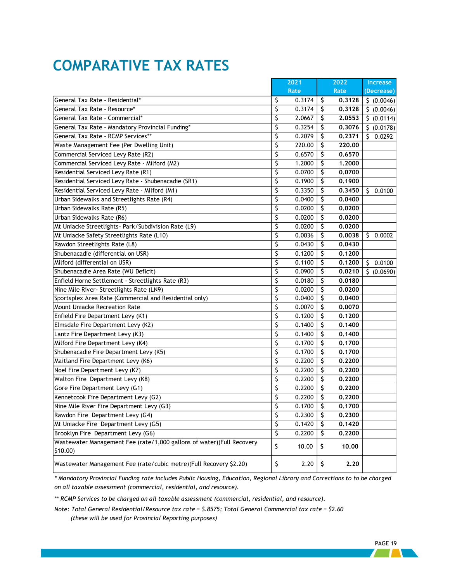## <span id="page-21-0"></span>**COMPARATIVE TAX RATES**

|                                                                       |                        | 2021        |    | 2022   | Increase    |
|-----------------------------------------------------------------------|------------------------|-------------|----|--------|-------------|
|                                                                       |                        | <b>Rate</b> |    | Rate   | (Decrease)  |
| General Tax Rate - Residential*                                       | \$                     | 0.3174      | \$ | 0.3128 | \$ (0.0046) |
| General Tax Rate - Resource*                                          | \$                     | 0.3174      | \$ | 0.3128 | \$ (0.0046) |
| General Tax Rate - Commercial*                                        | \$                     | 2.0667      | \$ | 2.0553 | \$ (0.0114) |
| General Tax Rate - Mandatory Provincial Funding*                      | \$                     | 0.3254      | \$ | 0.3076 | \$ (0.0178) |
| General Tax Rate - RCMP Services**                                    | \$                     | 0.2079      | \$ | 0.2371 | 50.0292     |
| Waste Management Fee (Per Dwelling Unit)                              | \$                     | 220.00      | Ŝ  | 220,00 |             |
| Commercial Serviced Levy Rate (R2)                                    | \$                     | 0.6570      | \$ | 0.6570 |             |
| Commercial Serviced Levy Rate - Milford (M2)                          | \$                     | 1.2000      | \$ | 1,2000 |             |
| Residential Serviced Levy Rate (R1)                                   | \$                     | 0.0700      | \$ | 0.0700 |             |
| Residential Serviced Levy Rate - Shubenacadie (SR1)                   | \$                     | 0.1900      | \$ | 0.1900 |             |
| Residential Serviced Levy Rate - Milford (M1)                         | \$                     | 0.3350      | \$ | 0.3450 | \$0.0100    |
| Urban Sidewalks and Streetlights Rate (R4)                            | \$                     | 0.0400      | S  | 0.0400 |             |
| Urban Sidewalks Rate (R5)                                             | \$                     | 0.0200      | S  | 0.0200 |             |
| Urban Sidewalks Rate (R6)                                             | \$                     | 0.0200      | S  | 0.0200 |             |
| Mt Uniacke Streetlights - Park/Subdivision Rate (L9)                  | \$                     | 0.0200      | S  | 0.0200 |             |
| Mt Uniacke Safety Streetlights Rate (L10)                             | \$                     | 0.0036      | Ŝ  | 0.0038 | \$0.0002    |
| Rawdon Streetlights Rate (L8)                                         | \$                     | 0.0430      | \$ | 0.0430 |             |
| Shubenacadie (differential on USR)                                    | \$                     | 0.1200      | \$ | 0.1200 |             |
| Milford (differential on USR)                                         | \$                     | 0.1100      | \$ | 0.1200 | \$0.0100    |
| Shubenacadie Area Rate (WU Deficit)                                   | \$                     | 0.0900      | \$ | 0.0210 | \$ (0.0690) |
| Enfield Horne Settlement - Streetlights Rate (R3)                     | \$                     | 0.0180      | \$ | 0.0180 |             |
| Nine Mile River- Streetlights Rate (LN9)                              | \$                     | 0.0200      | \$ | 0.0200 |             |
| Sportsplex Area Rate (Commercial and Residential only)                | \$                     | 0.0400      | \$ | 0.0400 |             |
| <b>Mount Uniacke Recreation Rate</b>                                  | \$                     | 0.0070      | \$ | 0.0070 |             |
| Enfield Fire Department Levy (K1)                                     | \$                     | 0.1200      | \$ | 0.1200 |             |
| Elmsdale Fire Department Levy (K2)                                    | \$                     | 0.1400      | \$ | 0.1400 |             |
| Lantz Fire Department Levy (K3)                                       | \$                     | 0.1400      | \$ | 0.1400 |             |
| Milford Fire Department Levy (K4)                                     | \$                     | 0.1700      | \$ | 0.1700 |             |
| Shubenacadie Fire Department Levy (K5)                                | \$                     | 0.1700      | \$ | 0.1700 |             |
| Maitland Fire Department Levy (K6)                                    | \$                     | 0.2200      | \$ | 0.2200 |             |
| Noel Fire Department Levy (K7)                                        | \$                     | 0.2200      | \$ | 0.2200 |             |
| Walton Fire Department Levy (K8)                                      | \$                     | 0.2200      | \$ | 0.2200 |             |
| Gore Fire Department Levy (G1)                                        | \$                     | 0.2200      | \$ | 0.2200 |             |
| Kennetcook Fire Department Levy (G2)                                  | \$                     | 0.2200      | \$ | 0.2200 |             |
| Nine Mile River Fire Department Levy (G3)                             | \$                     | 0.1700      | Ŝ  | 0.1700 |             |
| Rawdon Fire Department Levy (G4)                                      | \$                     | 0.2300      | \$ | 0.2300 |             |
| Mt Uniacke Fire Department Levy (G5)                                  | \$                     | 0.1420      | Ş  | 0.1420 |             |
| Brooklyn Fire Department Levy (G6)                                    | $\overline{\varsigma}$ | 0.2200      | \$ | 0.2200 |             |
| Wastewater Management Fee (rate/1,000 gallons of water)(Full Recovery |                        |             |    |        |             |
| $$10.00$ )                                                            | \$                     | 10.00       | \$ | 10.00  |             |
| Wastewater Management Fee (rate/cubic metre)(Full Recovery \$2.20)    | \$                     | 2.20        | \$ | 2.20   |             |

*\* Mandatory Provincial Funding rate includes Public Housing, Education, Regional Library and Corrections to to be charged on all taxable assessment (commercial, residential, and resource).* 

*\*\* RCMP Services to be charged on all taxable assessment (commercial, residential, and resource).*

*Note: Total General Residential/Resource tax rate = \$.8575; Total General Commercial tax rate = \$2.60 (these will be used for Provincial Reporting purposes)*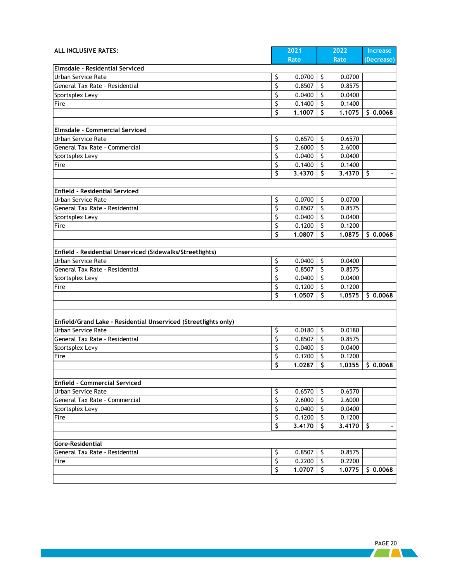| ALL INCLUSIVE RATES:                                            |                        | 2021   | 2022         | <b>Increase</b> |
|-----------------------------------------------------------------|------------------------|--------|--------------|-----------------|
|                                                                 |                        | Rate   | Rate         | (Decrease)      |
| Elmsdale - Residential Serviced                                 |                        |        |              |                 |
| Urban Service Rate                                              | \$                     | 0.0700 | \$<br>0.0700 |                 |
| General Tax Rate - Residential                                  | \$                     | 0.8507 | \$<br>0.8575 |                 |
| Sportsplex Levy                                                 | \$                     | 0.0400 | \$<br>0.0400 |                 |
| Fire                                                            | \$                     | 0.1400 | \$<br>0.1400 |                 |
|                                                                 | \$                     | 1.1007 | \$<br>1.1075 | \$0.0068        |
|                                                                 |                        |        |              |                 |
| Elmsdale - Commercial Serviced                                  |                        |        |              |                 |
| Urban Service Rate                                              | \$                     | 0.6570 | \$<br>0.6570 |                 |
| General Tax Rate - Commercial                                   | \$                     | 2.6000 | \$<br>2.6000 |                 |
| Sportsplex Levy                                                 | \$                     | 0.0400 | \$<br>0.0400 |                 |
| Fire                                                            | \$                     | 0.1400 | \$<br>0.1400 |                 |
|                                                                 | \$                     | 3.4370 | \$<br>3.4370 | \$              |
|                                                                 |                        |        |              |                 |
| <b>Enfield - Residential Serviced</b>                           |                        |        |              |                 |
| Urban Service Rate                                              | \$                     | 0.0700 | \$<br>0.0700 |                 |
| General Tax Rate - Residential                                  | \$                     | 0.8507 | \$<br>0.8575 |                 |
| Sportsplex Levy                                                 | \$                     | 0.0400 | \$<br>0.0400 |                 |
| Fire                                                            | \$                     | 0.1200 | \$<br>0.1200 |                 |
|                                                                 | \$                     | 1.0807 | \$<br>1,0875 | \$0.0068        |
|                                                                 |                        |        |              |                 |
| Enfield - Residential Unserviced (Sidewalks/Streetlights)       |                        |        |              |                 |
| Urban Service Rate                                              | \$                     | 0.0400 | \$<br>0.0400 |                 |
| General Tax Rate - Residential                                  | \$                     | 0.8507 | \$<br>0.8575 |                 |
| Sportsplex Levy                                                 | \$                     | 0.0400 | \$<br>0.0400 |                 |
| Fire                                                            | \$                     | 0.1200 | \$<br>0.1200 |                 |
|                                                                 | \$                     | 1.0507 | \$<br>1.0575 | \$0.0068        |
|                                                                 |                        |        |              |                 |
|                                                                 |                        |        |              |                 |
| Enfield/Grand Lake - Residential Unserviced (Streetlights only) |                        |        |              |                 |
| Urban Service Rate                                              | \$                     | 0.0180 | \$<br>0.0180 |                 |
| General Tax Rate - Residential                                  | \$                     | 0.8507 | \$<br>0.8575 |                 |
| Sportsplex Levy                                                 | \$                     | 0.0400 | \$<br>0.0400 |                 |
| Fire                                                            | \$                     | 0.1200 | \$<br>0.1200 |                 |
|                                                                 | \$                     | 1.0287 | \$<br>1.0355 | \$0.0068        |
|                                                                 |                        |        |              |                 |
| <b>Enfield - Commercial Serviced</b>                            |                        |        |              |                 |
| Urban Service Rate                                              | \$                     | 0.6570 | \$<br>0.6570 |                 |
| General Tax Rate - Commercial                                   | $\overline{\varsigma}$ | 2.6000 | \$<br>2.6000 |                 |
| Sportsplex Levy                                                 | \$                     | 0.0400 | \$<br>0.0400 |                 |
| Fire                                                            | \$                     | 0.1200 | \$<br>0.1200 |                 |
|                                                                 | $\overline{\varsigma}$ | 3.4170 | \$<br>3.4170 | \$<br>×         |
|                                                                 |                        |        |              |                 |
| Gore-Residential                                                |                        |        |              |                 |
| General Tax Rate - Residential                                  | \$                     | 0.8507 | \$<br>0.8575 |                 |
| Fire                                                            | \$                     | 0.2200 | \$<br>0.2200 |                 |
|                                                                 | $\overline{\varsigma}$ | 1.0707 | \$<br>1.0775 | \$0.0068        |
|                                                                 |                        |        |              |                 |
|                                                                 |                        |        |              |                 |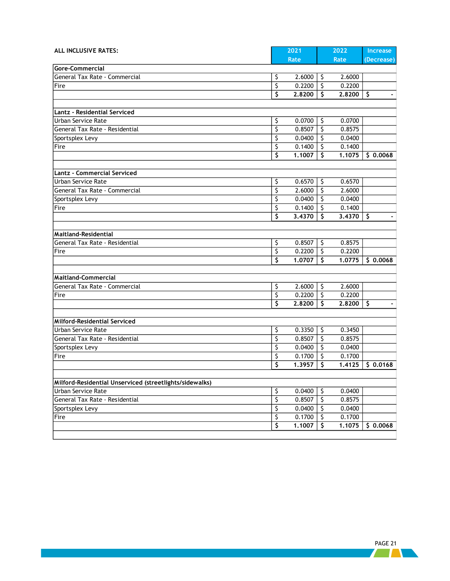| ALL INCLUSIVE RATES:                                    |                         | 2021   |                          | 2022   | Increase   |
|---------------------------------------------------------|-------------------------|--------|--------------------------|--------|------------|
|                                                         |                         | Rate   |                          | Rate   | (Decrease) |
| Gore-Commercial                                         |                         |        |                          |        |            |
| General Tax Rate - Commercial                           | \$                      | 2.6000 | -\$                      | 2.6000 |            |
| Fire                                                    | \$                      | 0.2200 | \$                       | 0.2200 |            |
|                                                         | \$                      | 2.8200 | \$                       | 2.8200 | \$         |
|                                                         |                         |        |                          |        |            |
| Lantz - Residential Serviced                            |                         |        |                          |        |            |
| Urban Service Rate                                      | \$                      | 0.0700 | Š.                       | 0.0700 |            |
| General Tax Rate - Residential                          | \$                      | 0.8507 | \$                       | 0.8575 |            |
| Sportsplex Levy                                         | \$                      | 0.0400 | \$                       | 0.0400 |            |
| Fire                                                    | \$                      | 0.1400 | \$                       | 0.1400 |            |
|                                                         | \$                      | 1.1007 | \$                       | 1.1075 | \$0.0068   |
| <b>Lantz - Commercial Serviced</b>                      |                         |        |                          |        |            |
| Urban Service Rate                                      | \$                      | 0.6570 | \$.                      | 0.6570 |            |
| General Tax Rate - Commercial                           | \$                      | 2.6000 | \$                       | 2.6000 |            |
| Sportsplex Levy                                         | \$                      | 0.0400 | \$                       | 0.0400 |            |
| Fire                                                    | \$                      | 0.1400 | \$                       | 0.1400 |            |
|                                                         | \$                      | 3,4370 | \$                       | 3,4370 | \$         |
|                                                         |                         |        |                          |        |            |
| <b>Maitland-Residential</b>                             |                         |        |                          |        |            |
| General Tax Rate - Residential                          | ऽ                       | 0.8507 | -\$                      | 0.8575 |            |
| Fire                                                    | \$                      | 0.2200 | -\$                      | 0.2200 |            |
|                                                         | \$                      | 1.0707 | \$                       | 1.0775 | \$0.0068   |
|                                                         |                         |        |                          |        |            |
| <b>Maitland-Commercial</b>                              |                         |        |                          |        |            |
| General Tax Rate - Commercial                           | \$                      | 2.6000 | -\$                      | 2.6000 |            |
| Fire                                                    | \$                      | 0.2200 | $\zeta$                  | 0.2200 |            |
|                                                         | \$                      | 2.8200 | Ŝ                        | 2,8200 | \$         |
|                                                         |                         |        |                          |        |            |
| Milford-Residential Serviced<br>Urban Service Rate      |                         | 0.3350 | -\$                      | 0.3450 |            |
| General Tax Rate - Residential                          | \$<br>\$                | 0.8507 | \$                       | 0.8575 |            |
| Sportsplex Levy                                         | \$                      | 0.0400 | \$                       | 0.0400 |            |
| Fire                                                    | \$                      | 0.1700 | \$                       | 0.1700 |            |
|                                                         | \$                      | 1.3957 | \$                       | 1.4125 | \$0.0168   |
|                                                         |                         |        |                          |        |            |
| Milford-Residential Unserviced (streetlights/sidewalks) |                         |        |                          |        |            |
| Urban Service Rate                                      | \$                      | 0.0400 | $\zeta$                  | 0.0400 |            |
| General Tax Rate - Residential                          | $\overline{\varsigma}$  | 0.8507 | $\overline{\mathcal{S}}$ | 0.8575 |            |
| Sportsplex Levy                                         | \$                      | 0.0400 | \$                       | 0.0400 |            |
| Fire                                                    | \$                      | 0.1700 | \$                       | 0.1700 |            |
|                                                         | $\overline{\mathsf{s}}$ | 1.1007 | \$                       | 1.1075 | \$0.0068   |
|                                                         |                         |        |                          |        |            |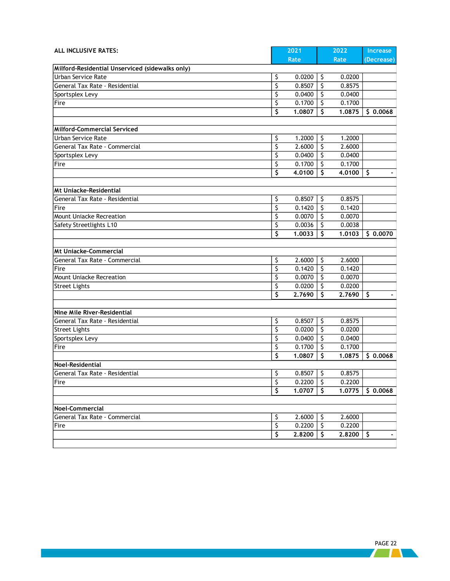| ALL INCLUSIVE RATES:                            |                          | 2021          |         | 2022   | Increase            |
|-------------------------------------------------|--------------------------|---------------|---------|--------|---------------------|
|                                                 |                          | Rate          |         | Rate   | (Decrease)          |
| Milford-Residential Unserviced (sidewalks only) |                          |               |         |        |                     |
| Urban Service Rate                              | \$                       | 0.0200        | \$      | 0.0200 |                     |
| General Tax Rate - Residential                  | \$                       | 0.8507        | \$      | 0.8575 |                     |
| Sportsplex Levy                                 | \$                       | 0.0400        | \$      | 0.0400 |                     |
| Fire                                            | \$                       | 0.1700        | \$      | 0.1700 |                     |
|                                                 | \$                       | 1.0807        | \$      | 1,0875 | \$0.0068            |
|                                                 |                          |               |         |        |                     |
| Milford-Commercial Serviced                     |                          |               |         |        |                     |
| Urban Service Rate                              | \$                       | 1.2000        | $\zeta$ | 1.2000 |                     |
| General Tax Rate - Commercial                   | \$                       | 2.6000        | ऽ       | 2.6000 |                     |
| Sportsplex Levy                                 | \$                       | 0.0400        | \$      | 0.0400 |                     |
| Fire                                            | \$                       | 0.1700        | \$      | 0.1700 |                     |
|                                                 | \$                       | 4.0100        | Ŝ       | 4.0100 | \$                  |
|                                                 |                          |               |         |        |                     |
| <b>Mt Uniacke-Residential</b>                   |                          |               |         |        |                     |
| General Tax Rate - Residential                  | \$                       | 0.8507        | -\$     | 0.8575 |                     |
| Fire                                            | \$                       | 0.1420        | $\zeta$ | 0.1420 |                     |
| <b>Mount Uniacke Recreation</b>                 | \$                       | 0.0070        | \$      | 0.0070 |                     |
| Safety Streetlights L10                         | \$                       | 0.0036        | \$      | 0.0038 |                     |
|                                                 | \$                       | 1.0033        | Ŝ       | 1.0103 | \$0.0070            |
|                                                 |                          |               |         |        |                     |
| <b>Mt Uniacke-Commercial</b>                    |                          |               |         |        |                     |
| General Tax Rate - Commercial                   | \$                       | 2.6000        | \$      | 2.6000 |                     |
| Fire                                            | \$                       | 0.1420        | \$      | 0.1420 |                     |
| Mount Uniacke Recreation                        | \$                       | 0.0070        | \$      | 0.0070 |                     |
| <b>Street Lights</b>                            | \$                       | 0.0200        | \$      | 0.0200 |                     |
|                                                 | \$                       | 2.7690        | \$      | 2.7690 | \$                  |
|                                                 |                          |               |         |        |                     |
| Nine Mile River-Residential                     |                          |               |         |        |                     |
| General Tax Rate - Residential                  | \$                       | 0.8507        | \$      | 0.8575 |                     |
| <b>Street Lights</b>                            | \$                       | 0.0200        | \$      | 0.0200 |                     |
| Sportsplex Levy                                 | \$                       | 0.0400        | $\zeta$ | 0.0400 |                     |
| Fire                                            | \$                       | 0.1700        | $\zeta$ | 0.1700 |                     |
|                                                 | \$                       | 1.0807        | \$      | 1.0875 | \$0.0068            |
| Noel-Residential                                |                          |               |         |        |                     |
| General Tax Rate - Residential                  | \$                       | $0.8507$ \$   |         | 0.8575 |                     |
| Fire                                            | $\overline{\mathcal{S}}$ | $0.2200$   \$ |         | 0.2200 |                     |
|                                                 | \$                       | 1.0707        | 5       | 1.0775 | \$0.0068            |
|                                                 |                          |               |         |        |                     |
| Noel-Commercial                                 |                          |               |         |        |                     |
| General Tax Rate - Commercial                   | \$                       | 2.6000        | -\$     | 2.6000 |                     |
| Fire                                            | \$                       | 0.2200        | l \$    | 0.2200 |                     |
|                                                 | \$                       | 2.8200        | -S      | 2.8200 | S<br>$\blacksquare$ |
|                                                 |                          |               |         |        |                     |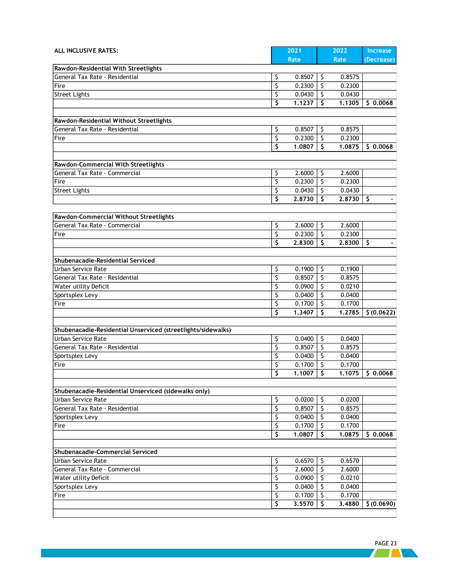| ALL INCLUSIVE RATES:                                                   |                         | 2021             |               | 2022             | Increase           |
|------------------------------------------------------------------------|-------------------------|------------------|---------------|------------------|--------------------|
|                                                                        |                         | Rate             |               | Rate             | (Decrease)         |
| Rawdon-Residential With Streetlights<br>General Tax Rate - Residential | \$                      | 0.8507           | \$            | 0.8575           |                    |
| Fire                                                                   | \$                      | 0.2300           | \$            | 0.2300           |                    |
| <b>Street Lights</b>                                                   | \$                      | 0.0430           | \$            | 0.0430           |                    |
|                                                                        | \$                      | 1.1237           | \$            | 1.1305           | \$0.0068           |
|                                                                        |                         |                  |               |                  |                    |
| Rawdon-Residential Without Streetlights                                |                         |                  |               |                  |                    |
| General Tax Rate - Residential                                         | \$                      | 0.8507           | \$            | 0.8575           |                    |
| Fire                                                                   | \$                      | 0.2300           | \$            | 0.2300           |                    |
|                                                                        | \$                      | 1,0807           | \$            | 1.0875           | \$0.0068           |
|                                                                        |                         |                  |               |                  |                    |
| Rawdon-Commercial With Streetlights                                    |                         |                  |               |                  |                    |
| General Tax Rate - Commercial                                          | \$                      | 2.6000           | -\$           | 2.6000           |                    |
| Fire                                                                   | \$                      | 0.2300           | \$            | 0.2300           |                    |
| <b>Street Lights</b>                                                   | \$                      | 0.0430           | $\zeta$       | 0.0430           |                    |
|                                                                        | \$                      | 2.8730           | \$            | 2.8730           | S.                 |
|                                                                        |                         |                  |               |                  |                    |
| Rawdon-Commercial Without Streetlights                                 |                         |                  |               |                  |                    |
| General Tax Rate - Commercial                                          | \$                      | 2.6000           | -S            | 2.6000           |                    |
| Fire                                                                   | \$                      | 0.2300           | \$            | 0.2300           |                    |
|                                                                        | $\overline{\mathsf{s}}$ | 2.8300           | Ŝ             | 2,8300           | S.                 |
|                                                                        |                         |                  |               |                  |                    |
| Shubenacadie-Residential Serviced                                      |                         |                  |               |                  |                    |
| <b>Urban Service Rate</b>                                              | \$                      | 0.1900           | \$            | 0.1900           |                    |
| General Tax Rate - Residential                                         | \$                      | 0.8507           | \$            | 0.8575           |                    |
| Water utility Deficit                                                  | \$                      | 0.0900           | \$            | 0.0210           |                    |
| Sportsplex Levy                                                        | \$                      | 0.0400           | \$            | 0.0400           |                    |
| Fire                                                                   | \$                      | 0.1700           | \$            | 0.1700           |                    |
|                                                                        | \$                      | 1.3407           | \$            | 1.2785           | \$ (0.0622)        |
|                                                                        |                         |                  |               |                  |                    |
| Shubenacadie-Residential Unserviced (streetlights/sidewalks)           |                         |                  |               |                  |                    |
| Urban Service Rate                                                     | \$                      | 0.0400           | \$            | 0.0400           |                    |
| General Tax Rate - Residential                                         | \$                      | 0.8507           | \$            | 0.8575           |                    |
| Sportsplex Levy                                                        | \$                      | 0.0400           | \$            | 0.0400           |                    |
| Fire                                                                   | \$                      | 0.1700           | \$            | 0.1700           |                    |
|                                                                        | \$                      | 1.1007           | \$            |                  | $1.1075$ \$ 0.0068 |
|                                                                        |                         |                  |               |                  |                    |
| Shubenacadie-Residential Unserviced (sidewalks only)                   |                         |                  |               |                  |                    |
| Urban Service Rate<br>General Tax Rate - Residential                   | \$<br>\$                | 0.0200<br>0.8507 | $\zeta$<br>\$ | 0.0200<br>0.8575 |                    |
| Sportsplex Levy                                                        | \$                      | 0.0400           | \$            | 0.0400           |                    |
| Fire                                                                   | \$                      | 0.1700           | \$            | 0.1700           |                    |
|                                                                        | \$                      | 1.0807           | \$            | 1.0875           | \$0.0068           |
|                                                                        |                         |                  |               |                  |                    |
| Shubenacadie-Commercial Serviced                                       |                         |                  |               |                  |                    |
| Urban Service Rate                                                     | \$                      | 0.6570           | S.            | 0.6570           |                    |
| General Tax Rate - Commercial                                          | \$                      | 2.6000           | \$            | 2.6000           |                    |
| Water utility Deficit                                                  | \$                      | 0.0900           | \$            | 0.0210           |                    |
| Sportsplex Levy                                                        | \$                      | 0.0400           | \$            | 0.0400           |                    |
| Fire                                                                   | \$                      | 0.1700           | \$            | 0.1700           |                    |
|                                                                        | \$                      | 3.5570           | \$            | 3,4880           | \$ (0.0690)        |
|                                                                        |                         |                  |               |                  |                    |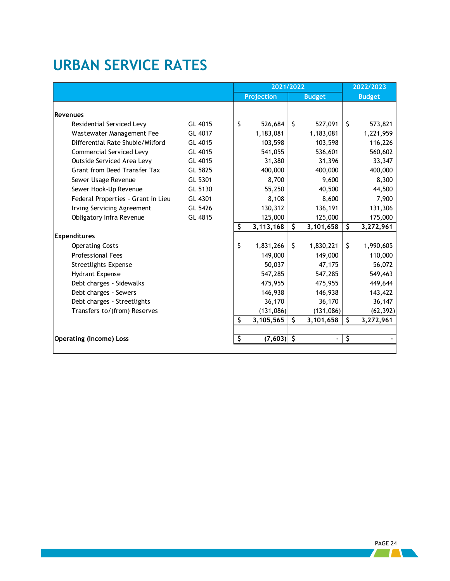## <span id="page-26-0"></span>**URBAN SERVICE RATES**

|                                    |         | 2021/2022 |              |    |               | 2022/2023               |               |  |
|------------------------------------|---------|-----------|--------------|----|---------------|-------------------------|---------------|--|
|                                    |         |           | Projection   |    | <b>Budget</b> |                         | <b>Budget</b> |  |
|                                    |         |           |              |    |               |                         |               |  |
| <b>Revenues</b>                    |         |           |              |    |               |                         |               |  |
| Residential Serviced Levy          | GL 4015 | \$        | 526,684      | \$ | 527,091       | \$                      | 573,821       |  |
| Wastewater Management Fee          | GL 4017 |           | 1,183,081    |    | 1,183,081     |                         | 1,221,959     |  |
| Differential Rate Shubie/Milford   | GL 4015 |           | 103,598      |    | 103,598       |                         | 116,226       |  |
| <b>Commercial Serviced Levy</b>    | GL 4015 |           | 541,055      |    | 536,601       |                         | 560,602       |  |
| Outside Serviced Area Levy         | GL 4015 |           | 31,380       |    | 31,396        |                         | 33,347        |  |
| Grant from Deed Transfer Tax       | GL 5825 |           | 400,000      |    | 400,000       |                         | 400,000       |  |
| Sewer Usage Revenue                | GL 5301 |           | 8,700        |    | 9,600         |                         | 8,300         |  |
| Sewer Hook-Up Revenue              | GL 5130 |           | 55,250       |    | 40,500        |                         | 44,500        |  |
| Federal Properties - Grant in Lieu | GL 4301 |           | 8,108        |    | 8,600         |                         | 7,900         |  |
| <b>Irving Servicing Agreement</b>  | GL 5426 |           | 130,312      |    | 136,191       |                         | 131,306       |  |
| Obligatory Infra Revenue           | GL 4815 |           | 125,000      |    | 125,000       |                         | 175,000       |  |
|                                    |         | \$        | 3,113,168    | \$ | 3,101,658     | \$                      | 3,272,961     |  |
| <b>Expenditures</b>                |         |           |              |    |               |                         |               |  |
| <b>Operating Costs</b>             |         | \$        | 1,831,266    | \$ | 1,830,221     | \$                      | 1,990,605     |  |
| <b>Professional Fees</b>           |         |           | 149,000      |    | 149,000       |                         | 110,000       |  |
| Streetlights Expense               |         |           | 50,037       |    | 47,175        |                         | 56,072        |  |
| Hydrant Expense                    |         |           | 547,285      |    | 547,285       |                         | 549,463       |  |
| Debt charges - Sidewalks           |         |           | 475,955      |    | 475,955       |                         | 449,644       |  |
| Debt charges - Sewers              |         |           | 146,938      |    | 146,938       |                         | 143,422       |  |
| Debt charges - Streetlights        |         |           | 36,170       |    | 36,170        |                         | 36,147        |  |
| Transfers to/(from) Reserves       |         |           | (131,086)    |    | (131,086)     |                         | (62, 392)     |  |
|                                    |         | \$        | 3,105,565    | \$ | 3,101,658     | $\overline{\mathsf{S}}$ | 3,272,961     |  |
|                                    |         |           |              |    |               |                         |               |  |
| <b>Operating (Income) Loss</b>     |         | \$        | $(7,603)$ \$ |    |               | \$                      |               |  |
|                                    |         |           |              |    |               |                         |               |  |

 PAGE 24 **All Development**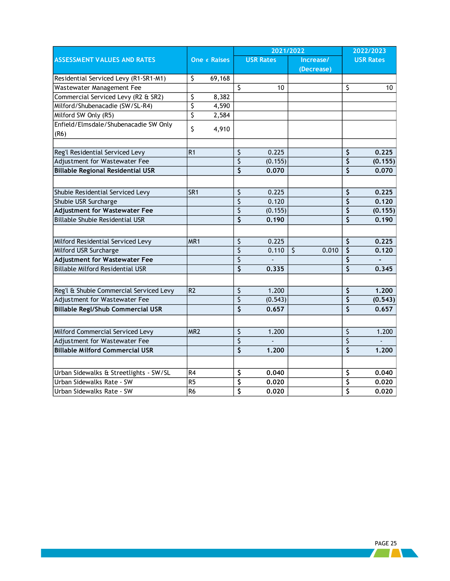|                                          |                 |              |                         | 2021/2022        |                  | 2022/2023                           |                  |
|------------------------------------------|-----------------|--------------|-------------------------|------------------|------------------|-------------------------------------|------------------|
| <b>ASSESSMENT VALUES AND RATES</b>       |                 | One ¢ Raises |                         | <b>USR Rates</b> | Increase/        |                                     | <b>USR Rates</b> |
|                                          |                 |              |                         |                  | (Decrease)       |                                     |                  |
| Residential Serviced Levy (R1-SR1-M1)    | \$              | 69,168       |                         |                  |                  |                                     |                  |
| Wastewater Management Fee                |                 |              | $\overline{\mathsf{S}}$ | 10               |                  | $\overline{\varsigma}$              | 10               |
| Commercial Serviced Levy (R2 & SR2)      | \$              | 8,382        |                         |                  |                  |                                     |                  |
| Milford/Shubenacadie (SW/SL-R4)          | \$              | 4,590        |                         |                  |                  |                                     |                  |
| Milford SW Only (R5)                     | \$              | 2,584        |                         |                  |                  |                                     |                  |
| Enfield/Elmsdale/Shubenacadie SW Only    | \$              | 4,910        |                         |                  |                  |                                     |                  |
| (R6)                                     |                 |              |                         |                  |                  |                                     |                  |
|                                          |                 |              |                         | 0.225            |                  |                                     |                  |
| Reg'l Residential Serviced Levy          | R <sub>1</sub>  |              | \$                      |                  |                  | \$<br>\$                            | 0.225            |
| Adjustment for Wastewater Fee            |                 |              | \$                      | (0.155)          |                  |                                     | (0.155)          |
| <b>Billable Regional Residential USR</b> |                 |              | \$                      | 0.070            |                  | $\overline{\mathsf{S}}$             | 0.070            |
| Shubie Residential Serviced Levy         | SR <sub>1</sub> |              | \$                      | 0.225            |                  | \$                                  | 0.225            |
| Shubie USR Surcharge                     |                 |              | \$                      | 0.120            |                  | \$                                  | 0.120            |
| <b>Adjustment for Wastewater Fee</b>     |                 |              | \$                      | (0.155)          |                  | \$                                  | (0.155)          |
| <b>Billable Shubie Residential USR</b>   |                 |              | $\overline{\varsigma}$  | 0.190            |                  | $\overline{\varsigma}$              | 0.190            |
|                                          |                 |              |                         |                  |                  |                                     |                  |
| Milford Residential Serviced Levy        | MR <sub>1</sub> |              | \$                      | 0.225            |                  | \$                                  | 0.225            |
| Milford USR Surcharge                    |                 |              | \$                      | 0.110            | $\zeta$<br>0.010 | $\overline{\varsigma}$              | 0.120            |
| <b>Adjustment for Wastewater Fee</b>     |                 |              | \$                      |                  |                  | $\overline{\varsigma}$              |                  |
| <b>Billable Milford Residential USR</b>  |                 |              | \$                      | 0.335            |                  | $\overline{\mathsf{s}}$             | 0.345            |
|                                          |                 |              |                         |                  |                  |                                     |                  |
| Reg'l & Shubie Commercial Serviced Levy  | R <sub>2</sub>  |              | \$                      | 1.200            |                  | \$                                  | 1.200            |
| Adjustment for Wastewater Fee            |                 |              | \$                      | (0.543)          |                  | \$                                  | (0.543)          |
| <b>Billable Regl/Shub Commercial USR</b> |                 |              | $\overline{\varsigma}$  | 0.657            |                  | $\overline{\boldsymbol{\varsigma}}$ | 0.657            |
|                                          |                 |              |                         |                  |                  |                                     |                  |
| Milford Commercial Serviced Levy         | MR <sub>2</sub> |              | $\overline{\varsigma}$  | 1.200            |                  | \$                                  | 1.200            |
| Adjustment for Wastewater Fee            |                 |              | $\overline{\varsigma}$  |                  |                  | $\overline{\varsigma}$              |                  |
| <b>Billable Milford Commercial USR</b>   |                 |              | $\overline{\xi}$        | 1.200            |                  | $\overline{\boldsymbol{\varsigma}}$ | 1.200            |
|                                          |                 |              |                         |                  |                  |                                     |                  |
| Urban Sidewalks & Streetlights - SW/SL   | R4              |              | \$                      | 0.040            |                  | \$                                  | 0.040            |
| Urban Sidewalks Rate - SW                | R <sub>5</sub>  |              | \$                      | 0.020            |                  | \$                                  | 0.020            |
| Urban Sidewalks Rate - SW                | R <sub>6</sub>  |              | \$                      | 0.020            |                  | $\overline{\boldsymbol{\varsigma}}$ | 0.020            |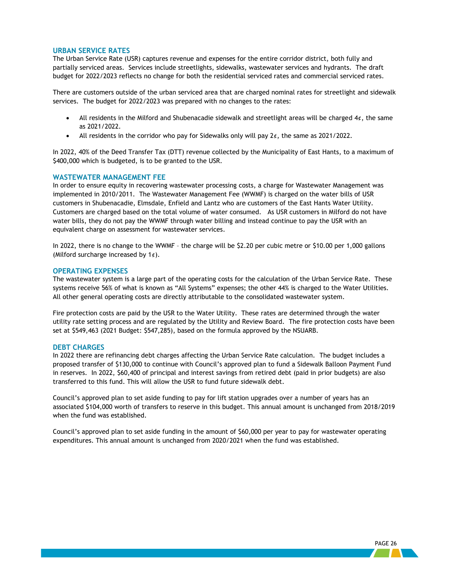#### <span id="page-28-0"></span>**URBAN SERVICE RATES**

The Urban Service Rate (USR) captures revenue and expenses for the entire corridor district, both fully and partially serviced areas. Services include streetlights, sidewalks, wastewater services and hydrants. The draft budget for 2022/2023 reflects no change for both the residential serviced rates and commercial serviced rates.

There are customers outside of the urban serviced area that are charged nominal rates for streetlight and sidewalk services. The budget for 2022/2023 was prepared with no changes to the rates:

- All residents in the Milford and Shubenacadie sidewalk and streetlight areas will be charged  $4¢$ , the same as 2021/2022.
- All residents in the corridor who pay for Sidewalks only will pay  $2¢$ , the same as 2021/2022.

In 2022, 40% of the Deed Transfer Tax (DTT) revenue collected by the Municipality of East Hants, to a maximum of \$400,000 which is budgeted, is to be granted to the USR.

#### <span id="page-28-1"></span>**WASTEWATER MANAGEMENT FEE**

In order to ensure equity in recovering wastewater processing costs, a charge for Wastewater Management was implemented in 2010/2011. The Wastewater Management Fee (WWMF) is charged on the water bills of USR customers in Shubenacadie, Elmsdale, Enfield and Lantz who are customers of the East Hants Water Utility. Customers are charged based on the total volume of water consumed. As USR customers in Milford do not have water bills, they do not pay the WWMF through water billing and instead continue to pay the USR with an equivalent charge on assessment for wastewater services.

In 2022, there is no change to the WWMF – the charge will be \$2.20 per cubic metre or \$10.00 per 1,000 gallons (Milford surcharge increased by  $1¢$ ).

#### <span id="page-28-2"></span>**OPERATING EXPENSES**

The wastewater system is a large part of the operating costs for the calculation of the Urban Service Rate. These systems receive 56% of what is known as "All Systems" expenses; the other 44% is charged to the Water Utilities. All other general operating costs are directly attributable to the consolidated wastewater system.

Fire protection costs are paid by the USR to the Water Utility. These rates are determined through the water utility rate setting process and are regulated by the Utility and Review Board. The fire protection costs have been set at \$549,463 (2021 Budget: \$547,285), based on the formula approved by the NSUARB.

#### <span id="page-28-3"></span>**DEBT CHARGES**

In 2022 there are refinancing debt charges affecting the Urban Service Rate calculation. The budget includes a proposed transfer of \$130,000 to continue with Council's approved plan to fund a Sidewalk Balloon Payment Fund in reserves. In 2022, \$60,400 of principal and interest savings from retired debt (paid in prior budgets) are also transferred to this fund. This will allow the USR to fund future sidewalk debt.

Council's approved plan to set aside funding to pay for lift station upgrades over a number of years has an associated \$104,000 worth of transfers to reserve in this budget. This annual amount is unchanged from 2018/2019 when the fund was established.

Council's approved plan to set aside funding in the amount of \$60,000 per year to pay for wastewater operating expenditures. This annual amount is unchanged from 2020/2021 when the fund was established.

and the second second second second second second second second second second second second second second second second second second second second second second second second second second second second second second seco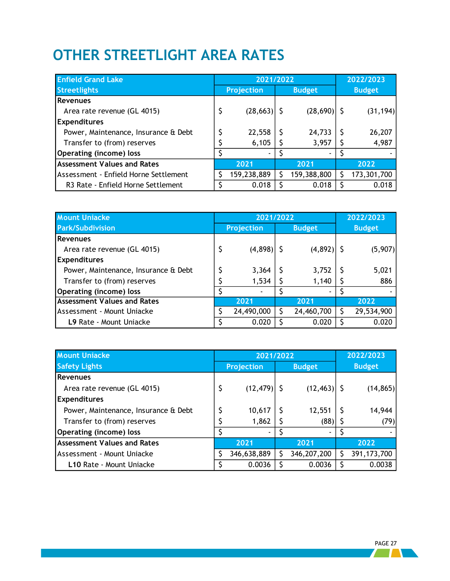# <span id="page-29-0"></span>**OTHER STREETLIGHT AREA RATES**

| <b>Enfield Grand Lake</b>                      | 2021/2022            |   |                | 2022/2023     |             |  |
|------------------------------------------------|----------------------|---|----------------|---------------|-------------|--|
| <b>Streetlights</b>                            | <b>Projection</b>    |   | <b>Budget</b>  | <b>Budget</b> |             |  |
| <b>Revenues</b>                                |                      |   |                |               |             |  |
| Area rate revenue (GL 4015)                    | \$<br>$(28, 663)$ \$ |   | $(28,690)$ \$  |               | (31, 194)   |  |
| <b>Expenditures</b>                            |                      |   |                |               |             |  |
| Power, Maintenance, Insurance & Debt           | 22,558               | S | 24,733         |               | 26,207      |  |
| Transfer to (from) reserves                    | 6,105                |   | 3,957          |               | 4,987       |  |
| <b>Operating (income) loss</b>                 |                      |   | $\blacksquare$ |               |             |  |
| <b>Assessment Values and Rates</b>             | 2021                 |   | 2021           |               | 2022        |  |
| Assessment - Enfield Horne Settlement          | 159,238,889          | S | 159,388,800    |               | 173,301,700 |  |
| R <sub>3</sub> Rate - Enfield Horne Settlement | 0.018                | S | 0.018          |               | 0.018       |  |

| <b>Mount Uniacke</b>                 | 2021/2022         |   | 2022/2023      |  |               |
|--------------------------------------|-------------------|---|----------------|--|---------------|
| <b>Park/Subdivision</b>              | <b>Projection</b> |   | <b>Budget</b>  |  | <b>Budget</b> |
| <b>Revenues</b>                      |                   |   |                |  |               |
| Area rate revenue (GL 4015)          | $(4,898)$ \$      |   | $(4,892)$ \$   |  | (5,907)       |
| <b>Expenditures</b>                  |                   |   |                |  |               |
| Power, Maintenance, Insurance & Debt | 3,364             |   | 3,752          |  | 5,021         |
| Transfer to (from) reserves          | 1,534             |   | 1,140          |  | 886           |
| <b>Operating (income) loss</b>       |                   |   | $\blacksquare$ |  |               |
| <b>Assessment Values and Rates</b>   | 2021              |   | 2021           |  | 2022          |
| Assessment - Mount Uniacke           | 24,490,000        | S | 24,460,700     |  | 29,534,900    |
| L9 Rate - Mount Uniacke              | 0.020             |   | 0.020          |  | 0.020         |

| <b>Mount Uniacke</b>                 |    | 2021/2022         |               | 2022/2023      |  |               |  |
|--------------------------------------|----|-------------------|---------------|----------------|--|---------------|--|
| <b>Safety Lights</b>                 |    | <b>Projection</b> | <b>Budget</b> |                |  | <b>Budget</b> |  |
| <b>Revenues</b>                      |    |                   |               |                |  |               |  |
| Area rate revenue (GL 4015)          | \$ | (12, 479)         |               | $(12, 463)$ \$ |  | (14, 865)     |  |
| <b>Expenditures</b>                  |    |                   |               |                |  |               |  |
| Power, Maintenance, Insurance & Debt |    | 10,617            |               | 12,551         |  | 14,944        |  |
| Transfer to (from) reserves          |    | 1,862             |               | $(88)$   \$    |  | (79)          |  |
| <b>Operating (income) loss</b>       |    |                   |               | ۰.             |  |               |  |
| <b>Assessment Values and Rates</b>   |    | 2021<br>2021      |               |                |  | 2022          |  |
| Assessment - Mount Uniacke           |    | 346,638,889       |               | 346, 207, 200  |  | 391, 173, 700 |  |
| L10 Rate - Mount Uniacke             |    | 0.0036            |               | 0.0036         |  | 0.0038        |  |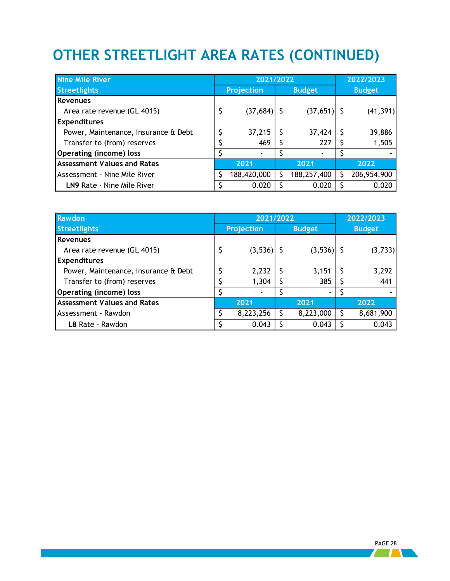# <span id="page-30-0"></span>**OTHER STREETLIGHT AREA RATES (CONTINUED)**

| <b>Nine Mile River</b>               | 2021/2022         |   | 2022/2023     |               |             |  |
|--------------------------------------|-------------------|---|---------------|---------------|-------------|--|
| <b>Streetlights</b>                  | <b>Projection</b> |   | <b>Budget</b> | <b>Budget</b> |             |  |
| <b>Revenues</b>                      |                   |   |               |               |             |  |
| Area rate revenue (GL 4015)          | \$<br>(37, 684)   |   | $(37,651)$ \$ |               | (41, 391)   |  |
| <b>Expenditures</b>                  |                   |   |               |               |             |  |
| Power, Maintenance, Insurance & Debt | \$<br>37,215      |   | 37,424        |               | 39,886      |  |
| Transfer to (from) reserves          | 469               |   | 227           |               | 1,505       |  |
| <b>Operating (income) loss</b>       |                   |   | ۰             |               |             |  |
| <b>Assessment Values and Rates</b>   | 2021              |   | 2021          |               | 2022        |  |
| Assessment - Nine Mile River         | 188,420,000       | S | 188,257,400   |               | 206,954,900 |  |
| LN9 Rate - Nine Mile River           | 0.020             |   | 0.020         |               | 0.020       |  |

| <b>Rawdon</b>                        | 2021/2022          |           | 2022/2023      |               |           |  |
|--------------------------------------|--------------------|-----------|----------------|---------------|-----------|--|
| <b>Streetlights</b>                  | <b>Projection</b>  |           | <b>Budget</b>  | <b>Budget</b> |           |  |
| <b>Revenues</b>                      |                    |           |                |               |           |  |
| Area rate revenue (GL 4015)          | \$<br>$(3,536)$ \$ |           | $(3,536)$ \$   |               | (3,733)   |  |
| <b>Expenditures</b>                  |                    |           |                |               |           |  |
| Power, Maintenance, Insurance & Debt | 2,232              |           | 3,151          |               | 3,292     |  |
| Transfer to (from) reserves          | 1,304              |           | 385            |               | 441       |  |
| <b>Operating (income) loss</b>       | -                  |           | $\blacksquare$ |               |           |  |
| <b>Assessment Values and Rates</b>   | 2021               |           | 2021           |               | 2022      |  |
| Assessment - Rawdon                  | 8,223,256          | 8,223,000 |                |               | 8,681,900 |  |
| L8 Rate - Rawdon                     | 0.043              |           | 0.043          |               | 0.043     |  |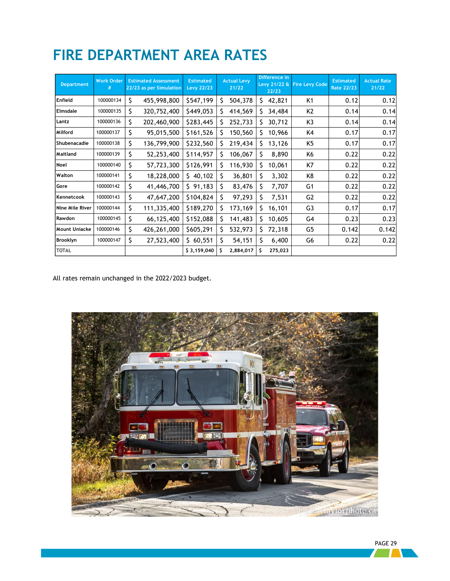| <b>Department</b>    | <b>Work Order</b><br># |    | <b>Estimated Assessment</b><br>22/23 as per Simulation | <b>Estimated</b><br><b>Levy 22/23</b> |    | <b>Actual Levy</b><br>21/22 |    | Difference in<br>Levy 21/22 &<br>22/23 | <b>Fire Levy Code</b> | <b>Estimated</b><br><b>Rate 22/23</b> | <b>Actual Rate</b><br>21/22 |
|----------------------|------------------------|----|--------------------------------------------------------|---------------------------------------|----|-----------------------------|----|----------------------------------------|-----------------------|---------------------------------------|-----------------------------|
| Enfield              | 100000134              | Ś  | 455,998,800                                            | \$547,199                             | Ś  | 504,378                     | S. | 42,821                                 | K1                    | 0.12                                  | 0.12                        |
| Elmsdale             | 100000135              | \$ | 320,752,400                                            | \$449,053                             | Ś  | 414,569                     | S. | 34,484                                 | K2                    | 0.14                                  | 0.14                        |
| Lantz                | 100000136              | \$ | 202,460,900                                            | \$283,445                             | \$ | 252,733                     | S. | 30,712                                 | K3                    | 0.14                                  | 0.14                        |
| Milford              | 100000137              | \$ | 95,015,500                                             | \$161,526                             | Ś. | 150,560                     | S. | 10,966                                 | K4                    | 0.17                                  | 0.17                        |
| Shubenacadie         | 100000138              | \$ | 136,799,900                                            | \$232,560                             | \$ | 219,434                     | S. | 13,126                                 | K5                    | 0.17                                  | 0.17                        |
| Maitland             | 100000139              | \$ | 52,253,400                                             | \$114,957                             | \$ | 106,067                     | S  | 8,890                                  | Κ6                    | 0.22                                  | 0.22                        |
| Noel                 | 100000140              | Ś  | 57,723,300                                             | \$126,991                             | Ś. | 116,930                     | Š. | 10,061                                 | K7                    | 0.22                                  | 0.22                        |
| Walton               | 100000141              | \$ | 18,228,000                                             | \$40,102                              | \$ | 36,801                      | S  | 3,302                                  | K8                    | 0.22                                  | 0.22                        |
| Gore                 | 100000142              | \$ | 41,446,700                                             | \$91,183                              | \$ | 83,476                      | S  | 7,707                                  | G <sub>1</sub>        | 0.22                                  | 0.22                        |
| Kennetcook           | 100000143              | \$ | 47,647,200                                             | \$104,824                             | \$ | 97,293                      | Ś. | 7,531                                  | G <sub>2</sub>        | 0.22                                  | 0.22                        |
| Nine Mile River      | 100000144              | \$ | 111,335,400                                            | \$189,270                             | \$ | 173,169                     | S. | 16,101                                 | G3                    | 0.17                                  | 0.17                        |
| Rawdon               | 100000145              | Ś  | 66,125,400                                             | \$152,088                             | \$ | 141,483                     | S. | 10,605                                 | G4                    | 0.23                                  | 0.23                        |
| <b>Mount Uniacke</b> | 100000146              | \$ | 426,261,000                                            | \$605,291                             | \$ | 532,973                     | S. | 72,318                                 | G5                    | 0.142                                 | 0.142                       |
| Brooklyn             | 100000147              | \$ | 27,523,400                                             | \$60,551                              | \$ | 54,151                      | S  | 6,400                                  | G6                    | 0.22                                  | 0.22                        |
| <b>TOTAL</b>         |                        |    |                                                        | \$3,159,040                           | \$ | 2,884,017                   | S. | 275,023                                |                       |                                       |                             |

## <span id="page-31-0"></span>**FIRE DEPARTMENT AREA RATES**

All rates remain unchanged in the 2022/2023 budget.

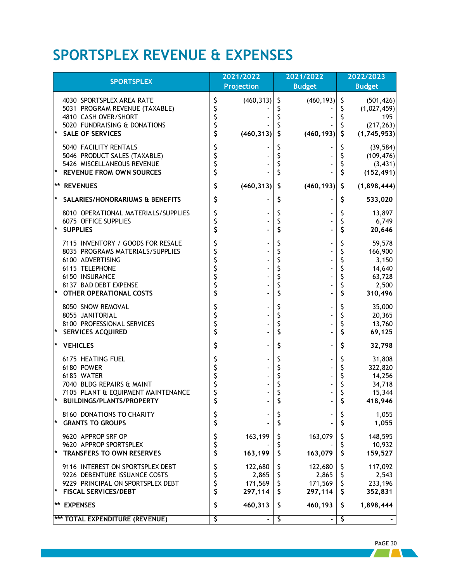## **SPORTSPLEX REVENUE & EXPENSES**

| <b>SPORTSPLEX</b>                                                                                                                                                                                  |          | 2021/2022                                     | 2021/2022                              |                                           | 2022/2023<br><b>Budget</b> |                                                                    |
|----------------------------------------------------------------------------------------------------------------------------------------------------------------------------------------------------|----------|-----------------------------------------------|----------------------------------------|-------------------------------------------|----------------------------|--------------------------------------------------------------------|
| 4030 SPORTSPLEX AREA RATE<br>5031 PROGRAM REVENUE (TAXABLE)<br>4810 CASH OVER/SHORT<br>5020 FUNDRAISING & DONATIONS<br><b>SALE OF SERVICES</b>                                                     | \$<br>\$ | <b>Projection</b><br>(460, 313)<br>(460, 313) | Ş<br>\$                                | <b>Budget</b><br>(460, 193)<br>(460, 193) | S.                         | (501, 426)<br>(1,027,459)<br>195<br>(217, 263)<br>(1,745,953)      |
| 5040 FACILITY RENTALS<br>5046 PRODUCT SALES (TAXABLE)<br>5426 MISCELLANEOUS REVENUE<br><b>REVENUE FROM OWN SOURCES</b><br>*                                                                        | \$<br>\$ |                                               | \$<br>\$<br>\$                         |                                           |                            | (39, 584)<br>(109, 476)<br>(3, 431)<br>(152, 491)                  |
| <b>** REVENUES</b>                                                                                                                                                                                 | \$       | (460, 313)                                    | \$                                     | (460, 193)                                | \$                         | (1,898,444)                                                        |
| SALARIES/HONORARIUMS & BENEFITS                                                                                                                                                                    | \$       |                                               | Ş                                      |                                           | S                          | 533,020                                                            |
| 8010 OPERATIONAL MATERIALS/SUPPLIES<br>6075 OFFICE SUPPLIES<br><b>SUPPLIES</b>                                                                                                                     | S<br>\$  |                                               | Ş<br>\$<br>\$                          |                                           | \$<br>\$                   | 13,897<br>6,749<br>20,646                                          |
| 7115 INVENTORY / GOODS FOR RESALE<br>8035 PROGRAMS MATERIALS/SUPPLIES<br>6100 ADVERTISING<br>6115 TELEPHONE<br>6150 INSURANCE<br>8137 BAD DEBT EXPENSE<br>$\ast$<br><b>OTHER OPERATIONAL COSTS</b> |          |                                               | \$<br>\$<br>\$<br>\$<br>\$<br>\$<br>\$ |                                           |                            | 59,578<br>166,900<br>3,150<br>14,640<br>63,728<br>2,500<br>310,496 |
| 8050 SNOW REMOVAL<br>8055 JANITORIAL<br>8100 PROFESSIONAL SERVICES<br>☀<br><b>SERVICES ACQUIRED</b>                                                                                                | Ś        |                                               | \$<br>\$<br>\$<br>\$                   |                                           | Ś                          | 35,000<br>20,365<br>13,760<br>69,125                               |
| <b>VEHICLES</b>                                                                                                                                                                                    | \$       |                                               | \$                                     |                                           | S                          | 32,798                                                             |
| 6175 HEATING FUEL<br>6180 POWER<br>6185 WATER<br>7040 BLDG REPAIRS & MAINT<br>7105 PLANT & EQUIPMENT MAINTENANCE<br>*<br><b>BUILDINGS/PLANTS/PROPERTY</b>                                          |          |                                               | \$<br>\$<br>\$                         |                                           |                            | 31,808<br>322,820<br>14,256<br>34,718<br>15,344<br>418,946         |
| 8160 DONATIONS TO CHARITY<br>$\star$<br><b>GRANTS TO GROUPS</b>                                                                                                                                    | \$<br>\$ |                                               | \$                                     |                                           | \$                         | 1,055<br>1,055                                                     |
| 9620 APPROP SRF OP<br>9620 APPROP SPORTSPLEX<br>$\star$<br><b>TRANSFERS TO OWN RESERVES</b>                                                                                                        | Ş        | 163,199<br>163,199                            | Ş<br>\$                                | 163,079<br>163,079                        | \$                         | 148,595<br>10,932<br>159,527                                       |
| 9116 INTEREST ON SPORTSPLEX DEBT<br>9226 DEBENTURE ISSUANCE COSTS<br>9229 PRINCIPAL ON SPORTSPLEX DEBT<br>*<br><b>FISCAL SERVICES/DEBT</b>                                                         | \$       | 122,680<br>2,865<br>171,569<br>297,114        | Ş<br>\$<br>\$<br>\$                    | 122,680<br>2,865<br>171,569<br>297,114    | \$<br>\$<br>\$.            | 117,092<br>2,543<br>233,196<br>352,831                             |
| ** EXPENSES                                                                                                                                                                                        | \$       | 460,313                                       | \$                                     | 460,193                                   | \$                         | 1,898,444                                                          |
| <b>*** TOTAL EXPENDITURE (REVENUE)</b>                                                                                                                                                             | \$       |                                               | \$                                     |                                           | Ş                          |                                                                    |

PAGE 30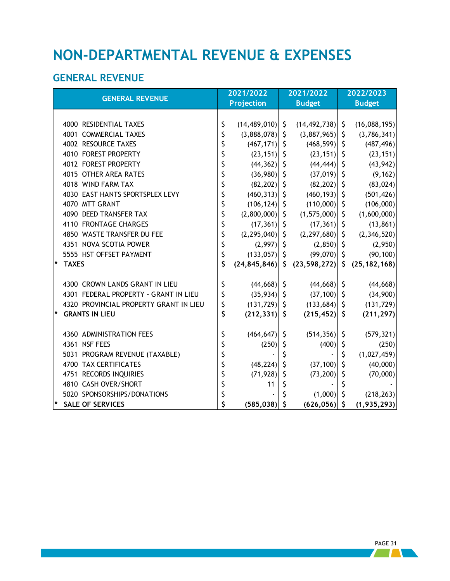## <span id="page-33-0"></span>**NON-DEPARTMENTAL REVENUE & EXPENSES**

### <span id="page-33-1"></span>**GENERAL REVENUE**

| <b>GENERAL REVENUE</b>                 | 2021/2022 |                   |         | 2021/2022           | 2022/2023    |                |  |  |
|----------------------------------------|-----------|-------------------|---------|---------------------|--------------|----------------|--|--|
|                                        |           | <b>Projection</b> |         | <b>Budget</b>       |              | <b>Budget</b>  |  |  |
|                                        |           |                   |         |                     |              |                |  |  |
| 4000 RESIDENTIAL TAXES                 | \$        | (14, 489, 010)    | \$      | $(14, 492, 738)$ \$ |              | (16,088,195)   |  |  |
| 4001 COMMERCIAL TAXES                  | \$        | (3,888,078)       | \$      | $(3,887,965)$ \$    |              | (3,786,341)    |  |  |
| 4002 RESOURCE TAXES                    | \$        | $(467, 171)$ \$   |         | $(468, 599)$ \$     |              | (487, 496)     |  |  |
| 4010 FOREST PROPERTY                   | \$        | $(23, 151)$ \$    |         | $(23, 151)$ \$      |              | (23, 151)      |  |  |
| 4012 FOREST PROPERTY                   | \$        | (44, 362)         | \$      | $(44, 444)$ \$      |              | (43, 942)      |  |  |
| 4015 OTHER AREA RATES                  | \$        | $(36,980)$ \$     |         | $(37,019)$ \$       |              | (9, 162)       |  |  |
| 4018 WIND FARM TAX                     | \$        | $(82, 202)$ \$    |         | $(82, 202)$ \$      |              | (83, 024)      |  |  |
| 4030 EAST HANTS SPORTSPLEX LEVY        | \$        | (460, 313)        | \$      | $(460, 193)$ \$     |              | (501, 426)     |  |  |
| 4070 MTT GRANT                         | \$        | $(106, 124)$ \$   |         | $(110,000)$ \$      |              | (106,000)      |  |  |
| 4090 DEED TRANSFER TAX                 | \$        | (2,800,000)       | \$      | $(1,575,000)$ \$    |              | (1,600,000)    |  |  |
| 4110 FRONTAGE CHARGES                  | \$        | (17, 361)         | \$      | $(17,361)$ \$       |              | (13, 861)      |  |  |
| 4850 WASTE TRANSFER DU FEE             | \$        | (2, 295, 040)     | \$      | $(2,297,680)$ \$    |              | (2,346,520)    |  |  |
| 4351 NOVA SCOTIA POWER                 | \$        | $(2,997)$ \$      |         | $(2,850)$ \$        |              | (2,950)        |  |  |
| 5555 HST OFFSET PAYMENT                | \$        | (133,057)         | \$      | $(99,070)$ \$       |              | (90, 100)      |  |  |
| $\pmb{\ast}$<br><b>TAXES</b>           | \$        | (24, 845, 846)    | \$.     | (23, 598, 272)      | $\mathsf{S}$ | (25, 182, 168) |  |  |
|                                        |           |                   |         |                     |              |                |  |  |
| 4300 CROWN LANDS GRANT IN LIEU         | \$        | (44, 668)         | \$      | $(44, 668)$ \$      |              | (44, 668)      |  |  |
| 4301 FEDERAL PROPERTY - GRANT IN LIEU  | \$        | (35, 934)         | $\zeta$ | (37, 100)           | $\zeta$      | (34,900)       |  |  |
| 4320 PROVINCIAL PROPERTY GRANT IN LIEU | \$        | $(131, 729)$ \$   |         | $(133, 684)$ \$     |              | (131, 729)     |  |  |
| $\star$<br><b>GRANTS IN LIEU</b>       | \$        | (212, 331)        | \$      | $(215, 452)$ \$     |              | (211, 297)     |  |  |
|                                        |           |                   |         |                     |              |                |  |  |
| 4360 ADMINISTRATION FEES               | \$        | (464, 647)        | \$      | (514, 356)          | \$           | (579, 321)     |  |  |
| 4361 NSF FEES                          | \$        | (250)             | \$      | (400)               | \$           | (250)          |  |  |
| 5031 PROGRAM REVENUE (TAXABLE)         | \$        |                   | \$      |                     | \$           | (1,027,459)    |  |  |
| <b>4700 TAX CERTIFICATES</b>           | \$        | (48, 224)         | \$      | (37, 100)           | \$           | (40,000)       |  |  |
| 4751 RECORDS INQUIRIES                 | \$        | (71, 928)         | \$      | (73, 200)           | \$           | (70,000)       |  |  |
| 4810 CASH OVER/SHORT                   | \$        | 11                | \$      |                     |              |                |  |  |
| 5020 SPONSORSHIPS/DONATIONS            | \$        |                   | Ś       | (1,000)             | \$           | (218, 263)     |  |  |
| *<br><b>SALE OF SERVICES</b>           | \$        | (585, 038)        | \$      | $(626, 056)$ \$     |              | (1, 935, 293)  |  |  |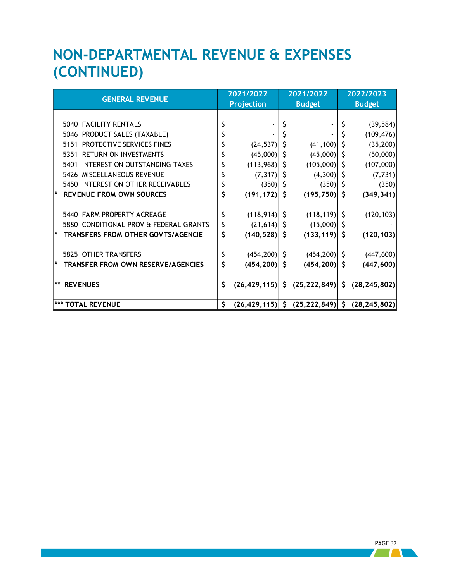## <span id="page-34-0"></span>**NON-DEPARTMENTAL REVENUE & EXPENSES (CONTINUED)**

|                                                |    | 2021/2022         |              | 2021/2022                                                         | 2022/2023 |                |  |
|------------------------------------------------|----|-------------------|--------------|-------------------------------------------------------------------|-----------|----------------|--|
| <b>GENERAL REVENUE</b>                         |    | <b>Projection</b> |              | <b>Budget</b>                                                     |           | <b>Budget</b>  |  |
|                                                |    |                   |              |                                                                   |           |                |  |
| 5040 FACILITY RENTALS                          |    |                   |              |                                                                   |           | (39, 584)      |  |
| PRODUCT SALES (TAXABLE)<br>5046                |    |                   |              |                                                                   |           | (109, 476)     |  |
| PROTECTIVE SERVICES FINES<br>5151              |    | (24, 537)         |              | (41, 100)                                                         |           | (35, 200)      |  |
| <b>RETURN ON INVESTMENTS</b><br>5351           |    | (45,000)          | <sub>S</sub> | (45,000)                                                          | S         | (50,000)       |  |
| INTEREST ON OUTSTANDING TAXES<br>5401          |    | (113,968)         | S            | (105,000)                                                         | S         | (107,000)      |  |
| MISCELLANEOUS REVENUE<br>5426                  |    | (7, 317)          | S            | (4,300)                                                           | S         | (7, 731)       |  |
| 5450 INTEREST ON OTHER RECEIVABLES             |    | (350)             | <sub>S</sub> | (350)                                                             | \$        | (350)          |  |
| <b>REVENUE FROM OWN SOURCES</b><br> ∗          | \$ | $(191, 172)$ \$   |              | (195, 750)                                                        | \$        | (349, 341)     |  |
|                                                |    |                   |              |                                                                   |           |                |  |
| 5440 FARM PROPERTY ACREAGE                     |    | $(118, 914)$ \$   |              | (118, 119)                                                        | S         | (120, 103)     |  |
| 5880 CONDITIONAL PROV & FEDERAL GRANTS         | \$ | (21, 614)         | -S           | (15,000)                                                          | S         |                |  |
| <b>TRANSFERS FROM OTHER GOVTS/AGENCIE</b><br>* | \$ | (140, 528)        | \$.          | (133, 119)                                                        | \$        | (120, 103)     |  |
|                                                |    |                   |              |                                                                   |           |                |  |
| 5825 OTHER TRANSFERS                           |    | $(454, 200)$ \$   |              | (454, 200)                                                        | S         | (447, 600)     |  |
| <b>TRANSFER FROM OWN RESERVE/AGENCIES</b><br>* | \$ | (454, 200)        | \$           | (454, 200)                                                        | \$        | (447, 600)     |  |
|                                                |    |                   |              |                                                                   |           |                |  |
| $***$<br><b>REVENUES</b>                       | \$ |                   |              | $(26, 429, 115)$ $\vert \xi \vert (25, 222, 849) \vert \xi \vert$ |           | (28, 245, 802) |  |
|                                                |    |                   |              |                                                                   |           |                |  |
| *** TOTAL REVENUE                              | \$ |                   |              | $(26, 429, 115)$ \$ $(25, 222, 849)$ \$                           |           | (28, 245, 802) |  |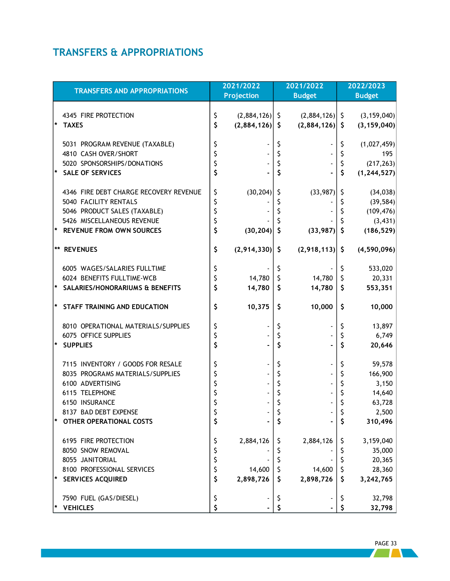### <span id="page-35-0"></span>**TRANSFERS & APPROPRIATIONS**

<span id="page-35-1"></span>

| <b>TRANSFERS AND APPROPRIATIONS</b>    |    | 2021/2022<br>Projection |             | 2021/2022<br><b>Budget</b> |    | 2022/2023<br><b>Budget</b> |
|----------------------------------------|----|-------------------------|-------------|----------------------------|----|----------------------------|
|                                        |    |                         |             |                            |    |                            |
| 4345 FIRE PROTECTION                   | \$ | $(2,884,126)$ \$        |             | $(2,884,126)$ \$           |    | (3, 159, 040)              |
| <b>TAXES</b>                           | \$ | (2,884,126)             | \$          | (2,884,126)                | \$ | (3, 159, 040)              |
|                                        |    |                         |             |                            |    |                            |
| 5031 PROGRAM REVENUE (TAXABLE)         | \$ |                         | \$          |                            | \$ | (1,027,459)                |
| 4810 CASH OVER/SHORT                   | \$ |                         | \$          |                            | \$ | 195                        |
| 5020 SPONSORSHIPS/DONATIONS            | \$ |                         | \$          |                            | \$ | (217, 263)                 |
| <b>SALE OF SERVICES</b>                | \$ |                         | \$          |                            | \$ | (1, 244, 527)              |
|                                        |    |                         |             |                            |    |                            |
| 4346 FIRE DEBT CHARGE RECOVERY REVENUE | \$ | (30, 204)               | Ş           | (33,987)                   | Ş  | (34, 038)                  |
| 5040 FACILITY RENTALS                  | \$ |                         | \$          |                            | \$ | (39, 584)                  |
| 5046 PRODUCT SALES (TAXABLE)           | \$ |                         | \$          |                            | \$ | (109, 476)                 |
| 5426 MISCELLANEOUS REVENUE             | \$ |                         |             |                            | Ś  | (3, 431)                   |
| <b>REVENUE FROM OWN SOURCES</b>        | \$ | (30, 204)               | \$          | (33,987)                   | \$ | (186, 529)                 |
| **<br><b>REVENUES</b>                  | \$ | (2,914,330)             | \$          | (2,918,113)                | \$ | (4,590,096)                |
| 6005 WAGES/SALARIES FULLTIME           | \$ |                         | \$          |                            | \$ | 533,020                    |
| 6024 BENEFITS FULLTIME-WCB             | \$ | 14,780                  | $\zeta$     | 14,780                     | \$ | 20,331                     |
| SALARIES/HONORARIUMS & BENEFITS        | \$ | 14,780                  | $\varsigma$ | 14,780                     | \$ | 553,351                    |
|                                        |    |                         |             |                            |    |                            |
| STAFF TRAINING AND EDUCATION           | \$ | 10,375                  | \$          | 10,000                     | \$ | 10,000                     |
| 8010 OPERATIONAL MATERIALS/SUPPLIES    | \$ |                         | \$          |                            | \$ | 13,897                     |
| 6075 OFFICE SUPPLIES                   | \$ |                         | \$          |                            | \$ | 6,749                      |
| <b>SUPPLIES</b>                        | \$ |                         | \$          |                            | \$ | 20,646                     |
| 7115 INVENTORY / GOODS FOR RESALE      | \$ |                         | \$          |                            | \$ | 59,578                     |
| 8035 PROGRAMS MATERIALS/SUPPLIES       | \$ |                         | \$          |                            | \$ | 166,900                    |
| 6100 ADVERTISING                       | \$ |                         | \$          |                            | \$ | 3,150                      |
| 6115 TELEPHONE                         | \$ |                         | \$          |                            | \$ | 14,640                     |
| 6150 INSURANCE                         | \$ |                         | \$          |                            | \$ | 63,728                     |
| 8137 BAD DEBT EXPENSE                  | Ş  |                         | Ş           |                            | Ş  | 2,500                      |
| <b>OTHER OPERATIONAL COSTS</b><br>*    | \$ |                         | \$          |                            | \$ | 310,496                    |
| 6195 FIRE PROTECTION                   | \$ | 2,884,126               | Ş           | 2,884,126                  | Ş  | 3,159,040                  |
| 8050 SNOW REMOVAL                      | \$ |                         | \$          |                            | \$ | 35,000                     |
| 8055 JANITORIAL                        | \$ |                         | \$          |                            | \$ | 20,365                     |
| 8100 PROFESSIONAL SERVICES             | \$ | 14,600                  | \$          | 14,600                     | \$ | 28,360                     |
| *<br><b>SERVICES ACQUIRED</b>          | \$ | 2,898,726               | \$          | 2,898,726                  | \$ | 3,242,765                  |
| 7590 FUEL (GAS/DIESEL)                 | \$ |                         |             |                            | Ş  | 32,798                     |
| <b>VEHICLES</b>                        | \$ |                         | \$<br>\$    |                            | S  | 32,798                     |

PAGE 33

 $\sqrt{2}$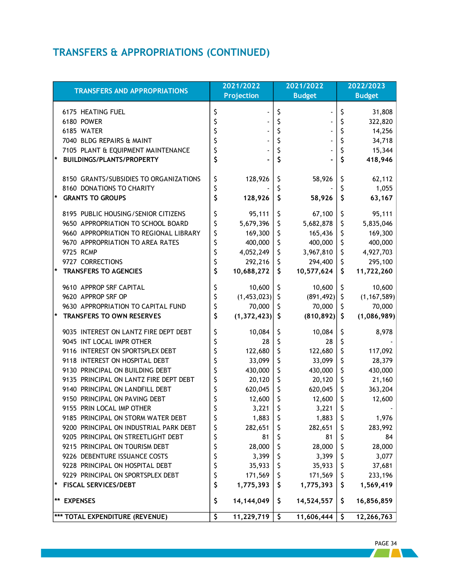### **TRANSFERS & APPROPRIATIONS (CONTINUED)**

| <b>TRANSFERS AND APPROPRIATIONS</b>     | 2021/2022<br><b>Projection</b> | 2021/2022<br><b>Budget</b> |              |     |               |  | 2022/2023<br><b>Budget</b> |
|-----------------------------------------|--------------------------------|----------------------------|--------------|-----|---------------|--|----------------------------|
|                                         |                                |                            |              |     |               |  |                            |
| 6175 HEATING FUEL                       | \$                             | \$                         |              | \$  | 31,808        |  |                            |
| 6180 POWER                              | \$                             | \$                         |              | \$  | 322,820       |  |                            |
| 6185 WATER                              |                                | \$                         |              | \$  | 14,256        |  |                            |
| 7040 BLDG REPAIRS & MAINT               |                                | \$                         |              | \$  | 34,718        |  |                            |
| 7105 PLANT & EQUIPMENT MAINTENANCE      | \$                             | \$                         |              | \$  | 15,344        |  |                            |
| <b>BUILDINGS/PLANTS/PROPERTY</b>        | \$                             | \$                         |              | \$  | 418,946       |  |                            |
| 8150 GRANTS/SUBSIDIES TO ORGANIZATIONS  | \$<br>128,926                  | \$                         | 58,926       | \$  | 62,112        |  |                            |
| 8160 DONATIONS TO CHARITY               | \$                             | \$                         |              | \$  | 1,055         |  |                            |
| *<br><b>GRANTS TO GROUPS</b>            | \$<br>128,926                  | $\varsigma$                | 58,926       | \$  | 63,167        |  |                            |
| 8195 PUBLIC HOUSING/SENIOR CITIZENS     | \$<br>95,111                   | \$                         | 67,100       | \$  | 95,111        |  |                            |
| 9650 APPROPRIATION TO SCHOOL BOARD      | \$<br>5,679,396                | \$                         | 5,682,878    | \$  | 5,835,046     |  |                            |
| 9660 APPROPRIATION TO REGIONAL LIBRARY  | \$<br>169,300                  | \$                         | 165,436      | \$  | 169,300       |  |                            |
| 9670 APPROPRIATION TO AREA RATES        | \$<br>400,000                  | \$                         | 400,000      | \$  | 400,000       |  |                            |
| 9725 RCMP                               | \$<br>4,052,249                | \$                         | 3,967,810    | \$  | 4,927,703     |  |                            |
| 9727 CORRECTIONS                        | \$<br>292,216                  | \$                         | 294,400      | \$  | 295,100       |  |                            |
| $\star$<br><b>TRANSFERS TO AGENCIES</b> | \$<br>10,688,272               | \$                         | 10,577,624   | \$  | 11,722,260    |  |                            |
| 9610 APPROP SRF CAPITAL                 | \$<br>10,600                   | \$                         | 10,600       | \$  | 10,600        |  |                            |
| 9620 APPROP SRF OP                      | \$<br>(1,453,023)              | $\zeta$                    | (891, 492)   | \$  | (1, 167, 589) |  |                            |
| 9630 APPROPRIATION TO CAPITAL FUND      | \$<br>70,000                   | \$                         | 70,000       | \$  | 70,000        |  |                            |
| TRANSFERS TO OWN RESERVES               | \$<br>(1, 372, 423)            | \$                         | (810, 892)   | \$. | (1,086,989)   |  |                            |
| 9035 INTEREST ON LANTZ FIRE DEPT DEBT   | \$<br>10,084                   | \$                         | 10,084       | \$  | 8,978         |  |                            |
| 9045 INT LOCAL IMPR OTHER               | \$<br>28                       | \$                         | 28           | \$  |               |  |                            |
| 9116 INTEREST ON SPORTSPLEX DEBT        | \$<br>122,680                  | \$                         | 122,680      | \$  | 117,092       |  |                            |
| 9118 INTEREST ON HOSPITAL DEBT          | \$<br>33,099                   | \$                         | 33,099       | \$  | 28,379        |  |                            |
| 9130 PRINCIPAL ON BUILDING DEBT         | \$<br>430,000                  | \$                         | 430,000      | \$  | 430,000       |  |                            |
| 9135 PRINCIPAL ON LANTZ FIRE DEPT DEBT  | \$<br>20,120                   | \$                         | 20,120       | \$  | 21,160        |  |                            |
| 9140 PRINCIPAL ON LANDFILL DEBT         | \$<br>620,045                  | $\zeta$                    | 620,045      | \$  | 363,204       |  |                            |
| 9150 PRINCIPAL ON PAVING DEBT           | 12,600                         | \$                         | 12,600       | \$  | 12,600        |  |                            |
| 9155 PRIN LOCAL IMP OTHER               | 3,221                          | \$                         | 3,221        | \$  |               |  |                            |
| 9185 PRINCIPAL ON STORM WATER DEBT      | \$<br>$1,883$   \$             |                            | $1,883$   \$ |     | 1,976         |  |                            |
| 9200 PRINCIPAL ON INDUSTRIAL PARK DEBT  | \$<br>282,651                  | \$                         | 282,651      | \$  | 283,992       |  |                            |
| 9205 PRINCIPAL ON STREETLIGHT DEBT      | \$<br>81                       | \$                         | 81           | \$  | 84            |  |                            |
| 9215 PRINCIPAL ON TOURISM DEBT          | \$<br>28,000                   | \$                         | 28,000       | Ş   | 28,000        |  |                            |
| 9226 DEBENTURE ISSUANCE COSTS           | \$<br>3,399                    | \$                         | 3,399        | \$  | 3,077         |  |                            |
| 9228 PRINCIPAL ON HOSPITAL DEBT         | \$<br>35,933                   | Ş                          | 35,933       | Ş   | 37,681        |  |                            |
| 9229 PRINCIPAL ON SPORTSPLEX DEBT       | \$<br>171,569                  | \$                         | 171,569      | \$  | 233,196       |  |                            |
| <b>FISCAL SERVICES/DEBT</b>             | \$<br>1,775,393                | \$                         | 1,775,393    | \$. | 1,569,419     |  |                            |
| **<br><b>EXPENSES</b>                   | \$<br>14,144,049               | \$                         | 14,524,557   | \$. | 16,856,859    |  |                            |
| *** TOTAL EXPENDITURE (REVENUE)         | \$<br>11,229,719               | \$                         | 11,606,444   | \$  | 12,266,763    |  |                            |

 PAGE 34 **Tara**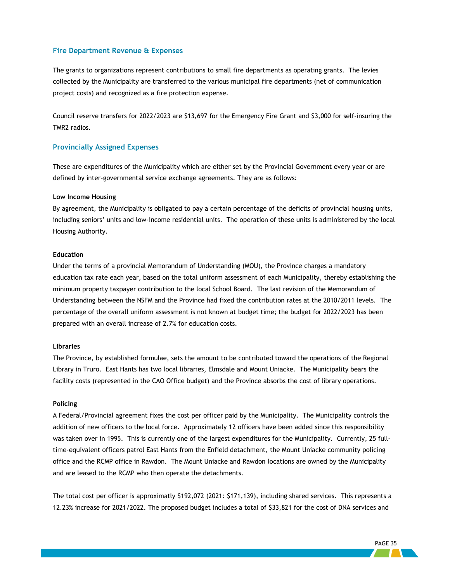#### **Fire Department Revenue & Expenses**

The grants to organizations represent contributions to small fire departments as operating grants. The levies collected by the Municipality are transferred to the various municipal fire departments (net of communication project costs) and recognized as a fire protection expense.

Council reserve transfers for 2022/2023 are \$13,697 for the Emergency Fire Grant and \$3,000 for self-insuring the TMR2 radios.

#### **Provincially Assigned Expenses**

These are expenditures of the Municipality which are either set by the Provincial Government every year or are defined by inter-governmental service exchange agreements. They are as follows:

#### **Low Income Housing**

By agreement, the Municipality is obligated to pay a certain percentage of the deficits of provincial housing units, including seniors' units and low-income residential units. The operation of these units is administered by the local Housing Authority.

#### **Education**

Under the terms of a provincial Memorandum of Understanding (MOU), the Province charges a mandatory education tax rate each year, based on the total uniform assessment of each Municipality, thereby establishing the minimum property taxpayer contribution to the local School Board. The last revision of the Memorandum of Understanding between the NSFM and the Province had fixed the contribution rates at the 2010/2011 levels. The percentage of the overall uniform assessment is not known at budget time; the budget for 2022/2023 has been prepared with an overall increase of 2.7% for education costs.

#### **Libraries**

The Province, by established formulae, sets the amount to be contributed toward the operations of the Regional Library in Truro. East Hants has two local libraries, Elmsdale and Mount Uniacke. The Municipality bears the facility costs (represented in the CAO Office budget) and the Province absorbs the cost of library operations.

#### **Policing**

A Federal/Provincial agreement fixes the cost per officer paid by the Municipality. The Municipality controls the addition of new officers to the local force. Approximately 12 officers have been added since this responsibility was taken over in 1995. This is currently one of the largest expenditures for the Municipality. Currently, 25 fulltime-equivalent officers patrol East Hants from the Enfield detachment, the Mount Uniacke community policing office and the RCMP office in Rawdon. The Mount Uniacke and Rawdon locations are owned by the Municipality and are leased to the RCMP who then operate the detachments.

The total cost per officer is approximatly \$192,072 (2021: \$171,139), including shared services. This represents a 12.23% increase for 2021/2022. The proposed budget includes a total of \$33,821 for the cost of DNA services and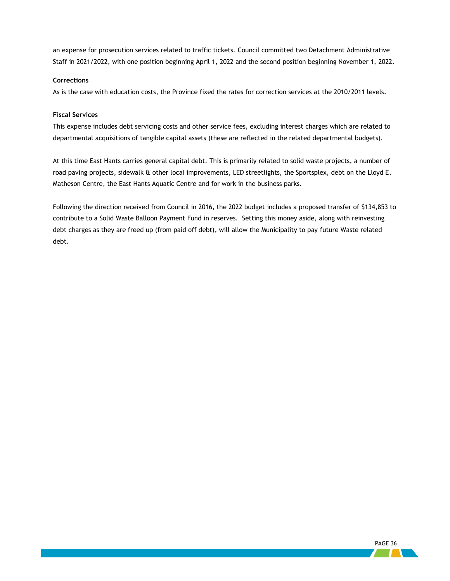an expense for prosecution services related to traffic tickets. Council committed two Detachment Administrative Staff in 2021/2022, with one position beginning April 1, 2022 and the second position beginning November 1, 2022.

#### **Corrections**

As is the case with education costs, the Province fixed the rates for correction services at the 2010/2011 levels.

#### **Fiscal Services**

This expense includes debt servicing costs and other service fees, excluding interest charges which are related to departmental acquisitions of tangible capital assets (these are reflected in the related departmental budgets).

At this time East Hants carries general capital debt. This is primarily related to solid waste projects, a number of road paving projects, sidewalk & other local improvements, LED streetlights, the Sportsplex, debt on the Lloyd E. Matheson Centre, the East Hants Aquatic Centre and for work in the business parks.

Following the direction received from Council in 2016, the 2022 budget includes a proposed transfer of \$134,853 to contribute to a Solid Waste Balloon Payment Fund in reserves. Setting this money aside, along with reinvesting debt charges as they are freed up (from paid off debt), will allow the Municipality to pay future Waste related debt.

r i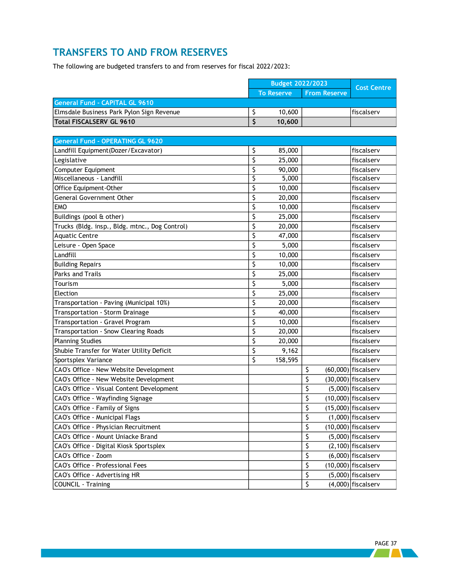### <span id="page-39-0"></span>**TRANSFERS TO AND FROM RESERVES**

The following are budgeted transfers to and from reserves for fiscal 2022/2023:

|                                           | <b>Budget 2022/2023</b> |                     | <b>Cost Centre</b> |
|-------------------------------------------|-------------------------|---------------------|--------------------|
|                                           | <b>To Reserve</b>       | <b>From Reserve</b> |                    |
| General Fund - CAPITAL GL 9610            |                         |                     |                    |
| Elmsdale Business Park Pylon Sign Revenue | 10,600                  |                     | lfiscalserv        |
| Total FISCALSERV GL 9610                  | 10.600                  |                     |                    |

| <b>General Fund - OPERATING GL 9620</b>        |               |    |                       |
|------------------------------------------------|---------------|----|-----------------------|
| Landfill Equipment (Dozer/Excavator)           | \$<br>85,000  |    | fiscalserv            |
| Legislative                                    | \$<br>25,000  |    | fiscalserv            |
| Computer Equipment                             | \$<br>90,000  |    | fiscalserv            |
| Miscellaneous - Landfill                       | \$<br>5,000   |    | fiscalserv            |
| Office Equipment-Other                         | \$<br>10,000  |    | fiscalserv            |
| General Government Other                       | \$<br>20,000  |    | fiscalserv            |
| EMO                                            | \$<br>10,000  |    | fiscalserv            |
| Buildings (pool & other)                       | \$<br>25,000  |    | fiscalserv            |
| Trucks (Bldg. insp., Bldg. mtnc., Dog Control) | \$<br>20,000  |    | fiscalserv            |
| <b>Aquatic Centre</b>                          | \$<br>47,000  |    | fiscalserv            |
| Leisure - Open Space                           | \$<br>5,000   |    | fiscalserv            |
| Landfill                                       | \$<br>10,000  |    | fiscalserv            |
| <b>Building Repairs</b>                        | \$<br>10,000  |    | fiscalserv            |
| Parks and Trails                               | \$<br>25,000  |    | fiscalserv            |
| Tourism                                        | \$<br>5,000   |    | fiscalserv            |
| Election                                       | \$<br>25,000  |    | fiscalserv            |
| Transportation - Paving (Municipal 10%)        | \$<br>20,000  |    | fiscalserv            |
| Transportation - Storm Drainage                | \$<br>40,000  |    | fiscalserv            |
| Transportation - Gravel Program                | \$<br>10,000  |    | fiscalserv            |
| Transportation - Snow Clearing Roads           | \$<br>20,000  |    | fiscalserv            |
| <b>Planning Studies</b>                        | \$<br>20,000  |    | fiscalserv            |
| Shubie Transfer for Water Utility Deficit      | \$<br>9,162   |    | fiscalserv            |
| Sportsplex Variance                            | \$<br>158,595 |    | fiscalserv            |
| CAO's Office - New Website Development         |               | \$ | $(60,000)$ fiscalserv |
| CAO's Office - New Website Development         |               | \$ | $(30,000)$ fiscalserv |
| CAO's Office - Visual Content Development      |               | \$ | $(5,000)$ fiscalserv  |
| CAO's Office - Wayfinding Signage              |               | \$ | $(10,000)$ fiscalserv |
| CAO's Office - Family of Signs                 |               | \$ | $(15,000)$ fiscalserv |
| CAO's Office - Municipal Flags                 |               | \$ | $(1,000)$ fiscalserv  |
| CAO's Office - Physician Recruitment           |               | \$ | $(10,000)$ fiscalserv |
| CAO's Office - Mount Uniacke Brand             |               | \$ | $(5,000)$ fiscalserv  |
| CAO's Office - Digital Kiosk Sportsplex        |               | \$ | $(2,100)$ fiscalserv  |
| CAO's Office - Zoom                            |               | \$ | $(6,000)$ fiscalserv  |
| CAO's Office - Professional Fees               |               | \$ | $(10,000)$ fiscalserv |
| CAO's Office - Advertising HR                  |               | \$ | $(5,000)$ fiscalserv  |
| COUNCIL - Training                             |               | \$ | $(4,000)$ fiscalserv  |

 $\sqrt{1 + \frac{1}{2}}$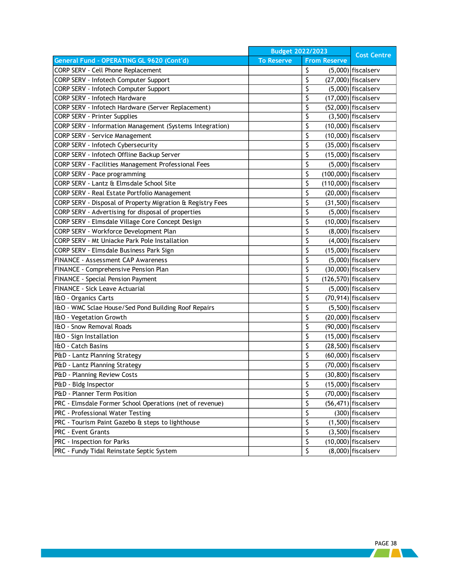|                                                            | <b>Budget 2022/2023</b> |                     | <b>Cost Centre</b>      |
|------------------------------------------------------------|-------------------------|---------------------|-------------------------|
| General Fund - OPERATING GL 9620 (Cont'd)                  | <b>To Reserve</b>       | <b>From Reserve</b> |                         |
| CORP SERV - Cell Phone Replacement                         |                         | \$                  | $(5,000)$ fiscalserv    |
| CORP SERV - Infotech Computer Support                      |                         | \$                  | $(27,000)$ fiscalserv   |
| CORP SERV - Infotech Computer Support                      |                         | \$                  | (5,000) fiscalserv      |
| <b>CORP SERV - Infotech Hardware</b>                       |                         | \$                  | $(17,000)$ fiscalserv   |
| CORP SERV - Infotech Hardware (Server Replacement)         |                         | \$                  | $(52,000)$ fiscalserv   |
| <b>CORP SERV - Printer Supplies</b>                        |                         | \$                  | $(3,500)$ fiscalserv    |
| CORP SERV - Information Management (Systems Integration)   |                         | \$                  | $(10,000)$ fiscalserv   |
| <b>CORP SERV - Service Management</b>                      |                         | \$                  | $(10,000)$ fiscalserv   |
| CORP SERV - Infotech Cybersecurity                         |                         | \$                  | $(35,000)$ fiscalserv   |
| CORP SERV - Infotech Offline Backup Server                 |                         | \$                  | $(15,000)$ fiscalserv   |
| CORP SERV - Facilities Management Professional Fees        |                         | \$                  | $(5,000)$ fiscalserv    |
| CORP SERV - Pace programming                               |                         | \$                  | $(100,000)$ fiscalserv  |
| CORP SERV - Lantz & Elmsdale School Site                   |                         | \$                  | $(110,000)$ fiscalserv  |
| CORP SERV - Real Estate Portfolio Management               |                         | \$                  | $(20,000)$ fiscalserv   |
| CORP SERV - Disposal of Property Migration & Registry Fees |                         | \$                  | $(31,500)$ fiscalserv   |
| CORP SERV - Advertising for disposal of properties         |                         | \$                  | $(5,000)$ fiscalserv    |
| CORP SERV - Elmsdale Village Core Concept Design           |                         | \$                  | $(10,000)$ fiscalserv   |
| CORP SERV - Workforce Development Plan                     |                         | \$                  | $(8,000)$ fiscalserv    |
| <b>CORP SERV - Mt Uniacke Park Pole Installation</b>       |                         | \$                  | $(4,000)$ fiscalserv    |
| CORP SERV - Elmsdale Business Park Sign                    |                         | \$                  | $(15,000)$ fiscalserv   |
| FINANCE - Assessment CAP Awareness                         |                         | \$                  | $(5,000)$ fiscalserv    |
| FINANCE - Comprehensive Pension Plan                       |                         | \$                  | $(30,000)$ fiscalserv   |
| FINANCE - Special Pension Payment                          |                         | \$                  | $(126, 570)$ fiscalserv |
| FINANCE - Sick Leave Actuarial                             |                         | \$                  | $(5,000)$ fiscalserv    |
| I&O - Organics Carts                                       |                         | \$                  | $(70, 914)$ fiscalserv  |
| I&O - WMC Sclae House/Sed Pond Building Roof Repairs       |                         | \$                  | $(5,500)$ fiscalserv    |
| I&O - Vegetation Growth                                    |                         | \$                  | $(20,000)$ fiscalserv   |
| I&O - Snow Removal Roads                                   |                         | \$                  | $(90,000)$ fiscalserv   |
| I&O - Sign Installation                                    |                         | \$                  | $(15,000)$ fiscalserv   |
| I&O - Catch Basins                                         |                         | \$                  | $(28,500)$ fiscalserv   |
| P&D - Lantz Planning Strategy                              |                         | \$                  | $(60,000)$ fiscalserv   |
| P&D - Lantz Planning Strategy                              |                         | \$                  | $(70,000)$ fiscalserv   |
| P&D - Planning Review Costs                                |                         | Ś                   | $(30,800)$ fiscalserv   |
| P&D - Bldg Inspector                                       |                         | \$                  | $(15,000)$ fiscalserv   |
| P&D - Planner Term Position                                |                         | \$                  | $(70,000)$ fiscalserv   |
| PRC - Elmsdale Former School Operations (net of revenue)   |                         | \$                  | $(56, 471)$ fiscalserv  |
| PRC - Professional Water Testing                           |                         | \$                  | $(300)$ fiscalserv      |
| PRC - Tourism Paint Gazebo & steps to lighthouse           |                         | \$                  | $(1,500)$ fiscalserv    |
| PRC - Event Grants                                         |                         | \$                  | $(3,500)$ fiscalserv    |
| PRC - Inspection for Parks                                 |                         | \$                  | $(10,000)$ fiscalserv   |
| PRC - Fundy Tidal Reinstate Septic System                  |                         | \$                  | $(8,000)$ fiscalserv    |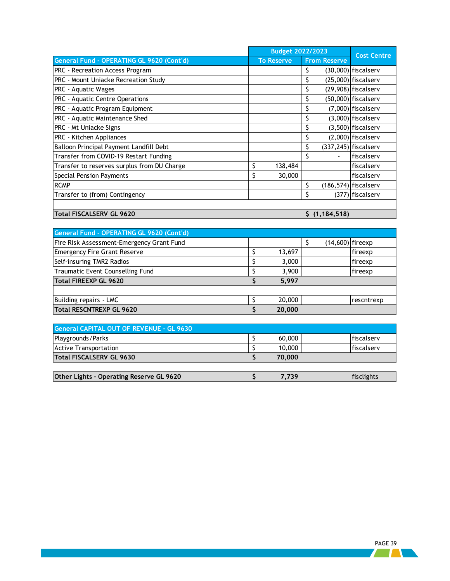|                                             |    | <b>Budget 2022/2023</b> | <b>Cost Centre</b>  |                         |
|---------------------------------------------|----|-------------------------|---------------------|-------------------------|
| General Fund - OPERATING GL 9620 (Cont'd)   |    | <b>To Reserve</b>       | <b>From Reserve</b> |                         |
| PRC - Recreation Access Program             |    |                         | \$                  | $(30,000)$ fiscalserv   |
| PRC - Mount Uniacke Recreation Study        |    |                         |                     | $(25,000)$ fiscalserv   |
| PRC - Aquatic Wages                         |    |                         |                     | $(29,908)$ fiscalserv   |
| PRC - Aquatic Centre Operations             |    |                         | \$                  | $(50,000)$ fiscalserv   |
| PRC - Aquatic Program Equipment             |    |                         | \$                  | $(7,000)$ fiscalserv    |
| PRC - Aquatic Maintenance Shed              |    |                         |                     | $(3,000)$ fiscalserv    |
| PRC - Mt Uniacke Signs                      |    |                         |                     | $(3,500)$ fiscalserv    |
| PRC - Kitchen Appliances                    |    |                         |                     | $(2,000)$ fiscalserv    |
| Balloon Principal Payment Landfill Debt     |    |                         | \$                  | $(337, 245)$ fiscalserv |
| Transfer from COVID-19 Restart Funding      |    |                         | \$                  | fiscalserv              |
| Transfer to reserves surplus from DU Charge | Ś. | 138,484                 |                     | fiscalserv              |
| Special Pension Payments                    | \$ | 30,000                  |                     | fiscalserv              |
| <b>RCMP</b>                                 |    |                         | \$                  | $(186, 574)$ fiscalserv |
| Transfer to (from) Contingency              |    |                         |                     | (377) fiscalserv        |
|                                             |    |                         |                     |                         |

**Total FISCALSERV GL 9620 \$ (1,184,518)**

| General Fund - OPERATING GL 9620 (Cont'd) |        |                    |            |
|-------------------------------------------|--------|--------------------|------------|
| Fire Risk Assessment-Emergency Grant Fund |        | $(14,600)$ fireexp |            |
| Emergency Fire Grant Reserve              | 13,697 |                    | lfireexp   |
| Self-insuring TMR2 Radios                 | 3,000  |                    | fireexp    |
| Traumatic Event Counselling Fund          | 3,900  |                    | fireexp    |
| Total FIREEXP GL 9620                     | 5.997  |                    |            |
|                                           |        |                    |            |
| Building repairs - LMC                    | 20,000 |                    | rescntrexp |
| Total RESCNTREXP GL 9620                  | 20,000 |                    |            |

| <b>General CAPITAL OUT OF REVENUE - GL 9630</b> |        |                    |
|-------------------------------------------------|--------|--------------------|
| Playgrounds/Parks                               | 60,000 | <b>Ifiscalserv</b> |
| <b>Active Transportation</b>                    | 10,000 | <b>Ifiscalserv</b> |
| Total FISCALSERV GL 9630                        | 70,000 |                    |
|                                                 |        |                    |

| Other Lights - Operating Reserve GL 9620 |  |  |
|------------------------------------------|--|--|
|                                          |  |  |